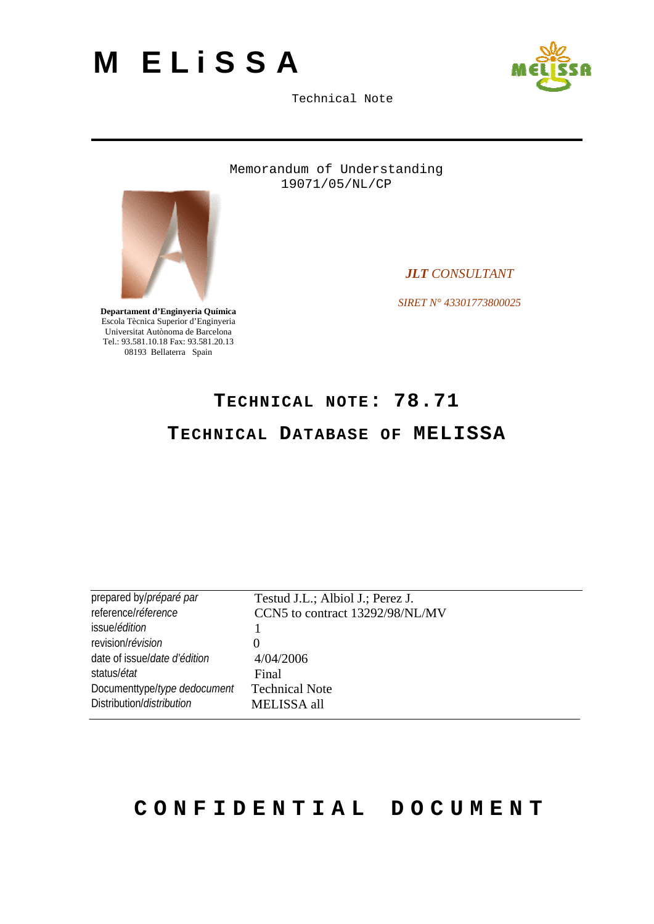<span id="page-0-0"></span>



Memorandum of Understanding 19071/05/NL/CP



*JLT CONSULTANT* 

*SIRET N° 43301773800025* 

**Departament d'Enginyeria Química**  Escola Tècnica Superior d'Enginyeria Universitat Autònoma de Barcelona Tel.: 93.581.10.18 Fax: 93.581.20.13 08193 Bellaterra Spain

# **TECHNICAL NOTE: [78.71](#page-0-0)**

## **[TECHNICAL DATABASE OF MELISSA](#page-0-0)**

| prepared by/préparé par              | Testud J.L.; Albiol J.; Perez J. |
|--------------------------------------|----------------------------------|
| reference/réference                  | CCN5 to contract 13292/98/NL/MV  |
| issue/édition                        |                                  |
| revision/révision                    |                                  |
| date of issue/ <i>date d'édition</i> | 4/04/2006                        |
| status/ <i>état</i>                  | Final                            |
| Documenttype/type dedocument         | <b>Technical Note</b>            |
| Distribution/ <i>distribution</i>    | MELISSA all                      |
|                                      |                                  |

# **CONFIDENTIAL DOCUMENT**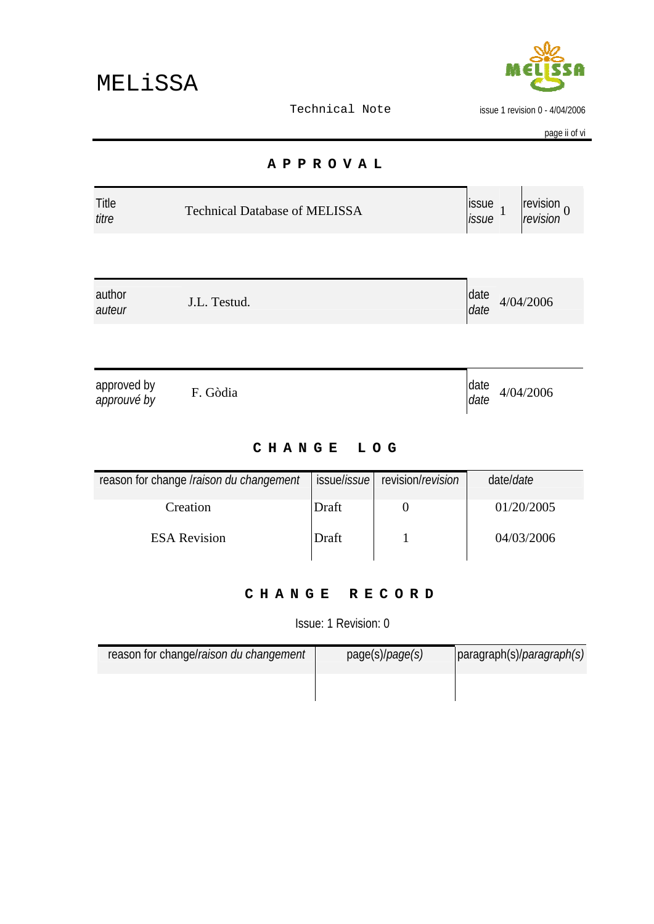

issue 1 revision 0 - 4/04/2006

page ii of vi

#### **APPROVAL**

<span id="page-1-0"></span>

| <b>Title</b> | <b>Technical Database of MELISSA</b> | <b>ISSUE</b> | $\blacksquare$ revision $\sim$ |
|--------------|--------------------------------------|--------------|--------------------------------|
| titre        |                                      | <i>issue</i> | revision                       |

| author       | date      |
|--------------|-----------|
| J.L. Testud. | 4/04/2006 |
| auteur       | date      |

| approved by<br>approuvé by | F. Gòdia |  | date<br>date | 4/04/2006 |  |
|----------------------------|----------|--|--------------|-----------|--|
|----------------------------|----------|--|--------------|-----------|--|

#### **CHANGE LOG**

| reason for change Iraison du changement |       | issue/ <i>issue</i> revision/revision | date/ <i>date</i> |
|-----------------------------------------|-------|---------------------------------------|-------------------|
| Creation                                | Draft |                                       | 01/20/2005        |
| <b>ESA Revision</b>                     | Draft |                                       | 04/03/2006        |

#### **CHANGE RECORD**

Issue: 1 Revision: 0

| reason for change/raison du changement | page(s)/ <i>page(s)</i> | paragraph(s)/ <i>paragraph(s)</i> |
|----------------------------------------|-------------------------|-----------------------------------|
|                                        |                         |                                   |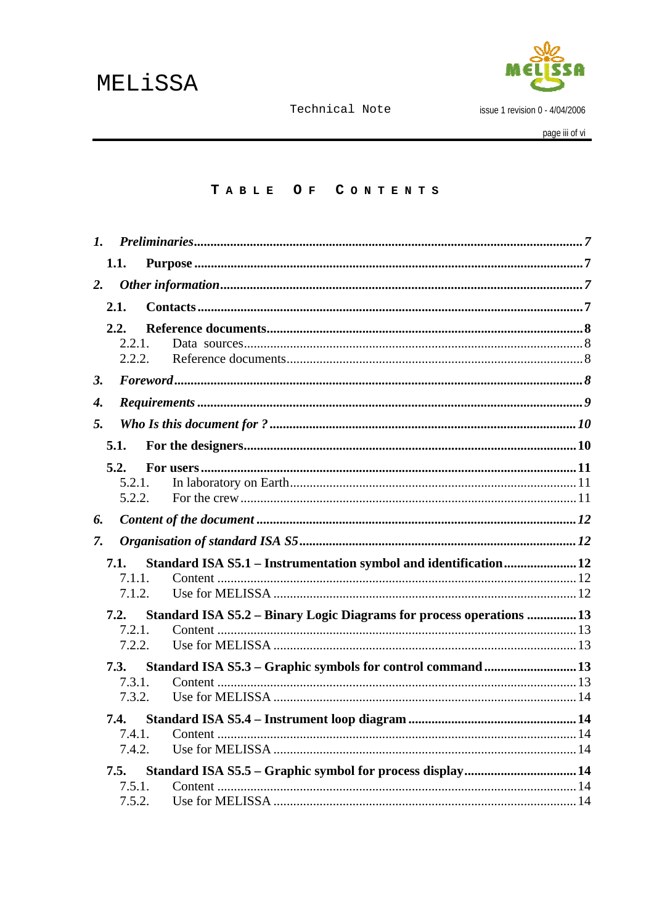

issue 1 revision 0 - 4/04/2006

## TABLE OF CONTENTS

| $\mathbf{I}$ . |                  |                                                                      |  |
|----------------|------------------|----------------------------------------------------------------------|--|
|                | 1.1.             |                                                                      |  |
| 2.             |                  |                                                                      |  |
|                | 2.1.             |                                                                      |  |
|                | 2.2.             |                                                                      |  |
|                | 2.2.1.           |                                                                      |  |
|                | 2.2.2            |                                                                      |  |
| 3.             |                  |                                                                      |  |
| 4.             |                  |                                                                      |  |
| 5.             |                  |                                                                      |  |
|                | 5.1.             |                                                                      |  |
|                | 5.2.             |                                                                      |  |
|                | $5.2.1$ .        |                                                                      |  |
|                | 5.2.2.           |                                                                      |  |
| 6.             |                  |                                                                      |  |
| 7.             |                  |                                                                      |  |
|                | 7.1.             | Standard ISA S5.1 - Instrumentation symbol and identification 12     |  |
|                | 7.1.1.           |                                                                      |  |
|                | 7.1.2.           |                                                                      |  |
|                | 7.2.             | Standard ISA S5.2 - Binary Logic Diagrams for process operations  13 |  |
|                | 7.2.1.           |                                                                      |  |
|                | 7.2.2.           |                                                                      |  |
|                | 7.3.             | Standard ISA S5.3 - Graphic symbols for control command  13          |  |
|                | 7.3.1.           |                                                                      |  |
|                | 7.3.2.           |                                                                      |  |
|                | 7.4.             |                                                                      |  |
|                | 7.4.1.           |                                                                      |  |
|                | 7.4.2.           |                                                                      |  |
|                | 7.5.             |                                                                      |  |
|                | 7.5.1.<br>7.5.2. |                                                                      |  |
|                |                  |                                                                      |  |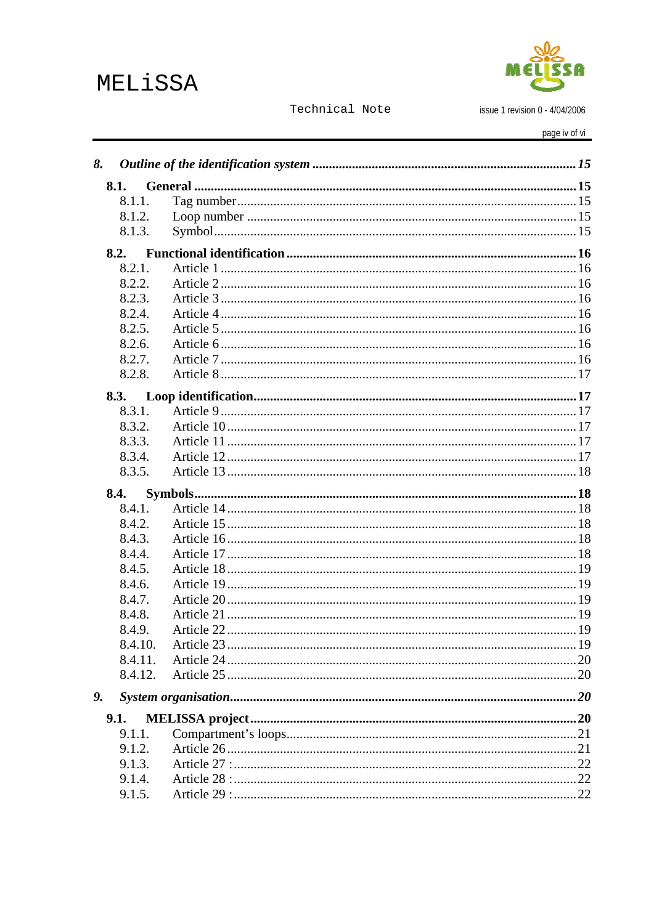# MELiSSA



Technical Note

issue 1 revision 0 - 4/04/2006

page iv of vi

| 8.      |  |
|---------|--|
| 8.1.    |  |
| 8.1.1.  |  |
| 8.1.2.  |  |
| 8.1.3.  |  |
| 8.2.    |  |
| 8.2.1.  |  |
| 8.2.2.  |  |
| 8.2.3.  |  |
| 8.2.4.  |  |
| 8.2.5.  |  |
| 8.2.6.  |  |
| 8.2.7.  |  |
| 8.2.8.  |  |
| 8.3.    |  |
| 8.3.1.  |  |
| 8.3.2.  |  |
| 8.3.3.  |  |
| 8.3.4.  |  |
| 8.3.5.  |  |
| 8.4.    |  |
|         |  |
| 8.4.1.  |  |
| 8.4.2.  |  |
| 8.4.3.  |  |
| 8.4.4.  |  |
| 8.4.5.  |  |
| 8.4.6.  |  |
| 8.4.7.  |  |
| 8.4.8.  |  |
| 8.4.9.  |  |
| 8.4.10. |  |
| 8.4.11. |  |
| 8.4.12. |  |
| 9.      |  |
| 9.1.    |  |
| 9.1.1.  |  |
| 9.1.2.  |  |
| 9.1.3.  |  |
| 9.1.4.  |  |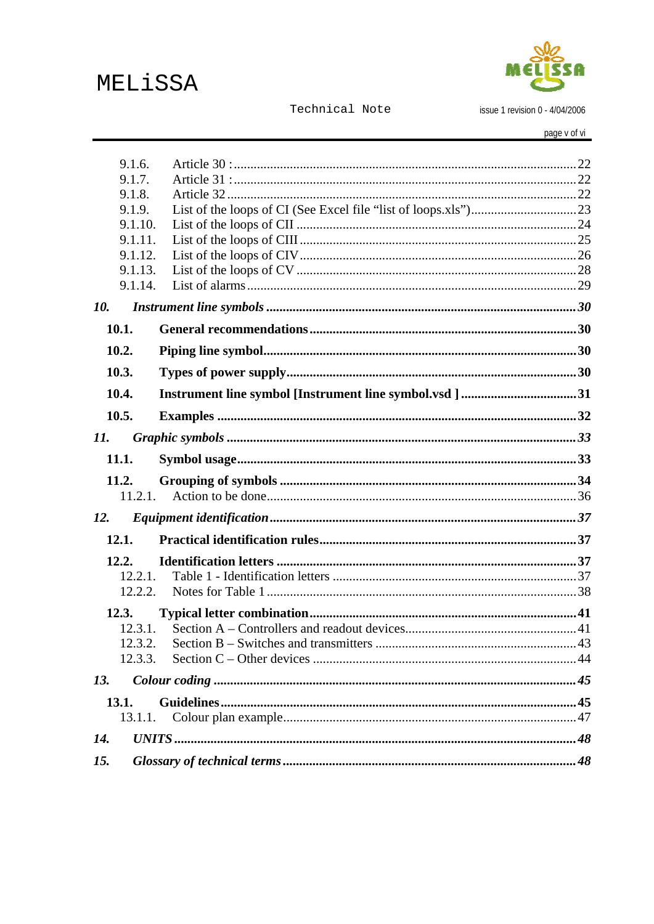MELiSSA



Technical Note

issue 1 revision 0 - 4/04/2006

page v of vi

|     | 9.1.6.<br>9.1.7.<br>9.1.8.<br>9.1.9.<br>9.1.10.<br>9.1.11.<br>9.1.12.<br>9.1.13.<br>9.1.14. |                                                         |  |
|-----|---------------------------------------------------------------------------------------------|---------------------------------------------------------|--|
| 10. |                                                                                             |                                                         |  |
|     | 10.1.                                                                                       |                                                         |  |
|     | 10.2.                                                                                       |                                                         |  |
|     | 10.3.                                                                                       |                                                         |  |
|     | 10.4.                                                                                       | Instrument line symbol [Instrument line symbol.vsd ] 31 |  |
|     | 10.5.                                                                                       |                                                         |  |
| 11. |                                                                                             |                                                         |  |
|     | 11.1.                                                                                       |                                                         |  |
|     | 11.2.<br>11.2.1.                                                                            |                                                         |  |
| 12. |                                                                                             |                                                         |  |
|     | 12.1.                                                                                       |                                                         |  |
|     | 12.2.                                                                                       |                                                         |  |
|     | 12.2.1.                                                                                     |                                                         |  |
|     | 12.2.2.                                                                                     |                                                         |  |
|     | 12.3.<br>12.3.1.                                                                            |                                                         |  |
|     |                                                                                             |                                                         |  |
|     | 12.3.3.                                                                                     |                                                         |  |
| 13. |                                                                                             |                                                         |  |
|     | 13.1.                                                                                       |                                                         |  |
|     | 13.1.1.                                                                                     |                                                         |  |
| 14. |                                                                                             |                                                         |  |
| 15. |                                                                                             |                                                         |  |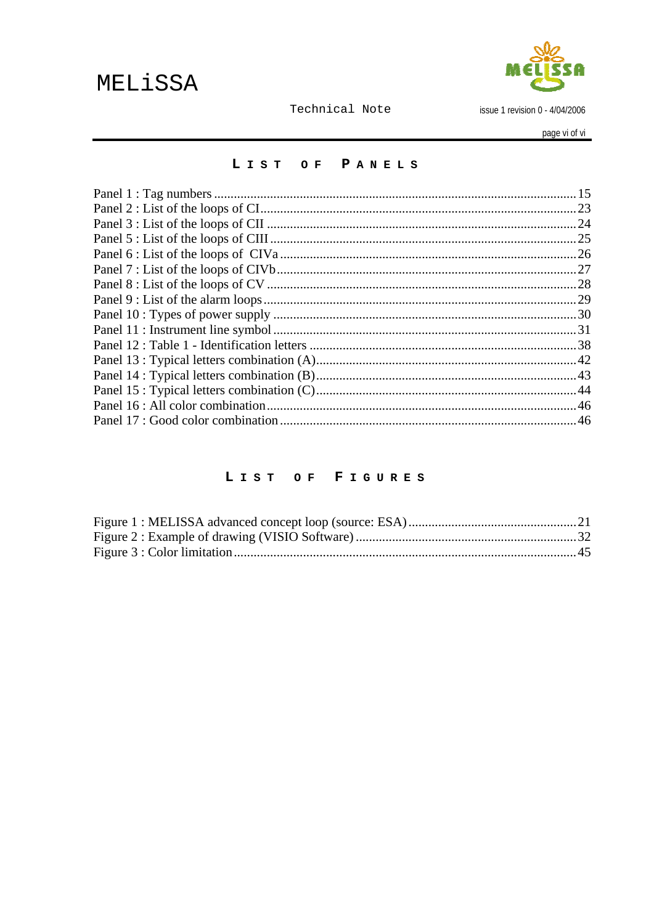

issue 1 revision 0 - 4/04/2006

page vi of vi

#### LIST OF PANELS

#### LIST OF FIGURES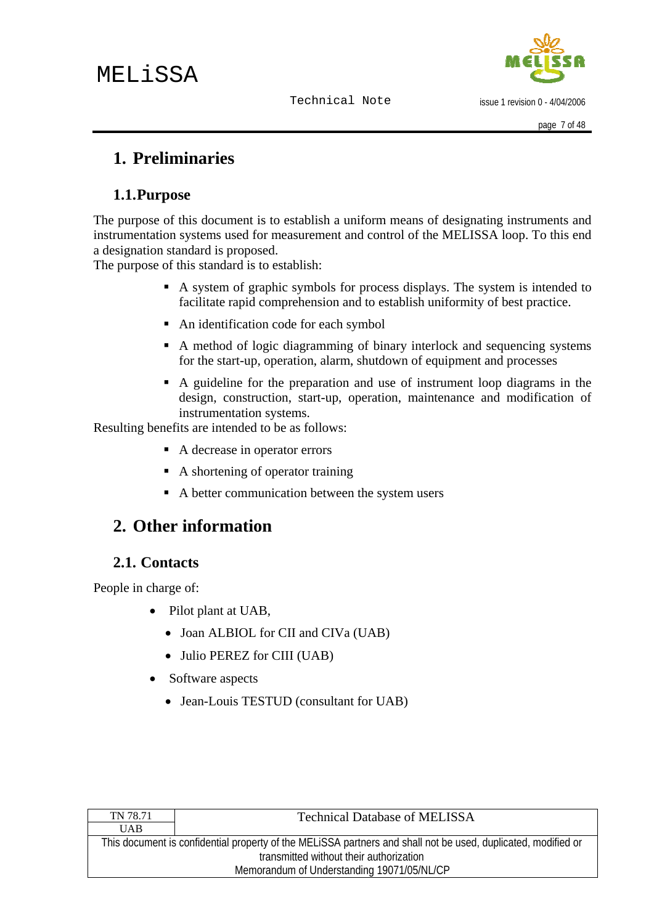issue 1 revision 0 - 4/04/2006

# <span id="page-6-0"></span>**1. Preliminaries**

# **1.1.Purpose**

The purpose of this document is to establish a uniform means of designating instruments and instrumentation systems used for measurement and control of the MELISSA loop. To this end a designation standard is proposed.

The purpose of this standard is to establish:

- A system of graphic symbols for process displays. The system is intended to facilitate rapid comprehension and to establish uniformity of best practice.
- An identification code for each symbol
- A method of logic diagramming of binary interlock and sequencing systems for the start-up, operation, alarm, shutdown of equipment and processes
- A guideline for the preparation and use of instrument loop diagrams in the design, construction, start-up, operation, maintenance and modification of instrumentation systems.

Resulting benefits are intended to be as follows:

- A decrease in operator errors
- A shortening of operator training
- A better communication between the system users

# **2. Other information**

## **2.1. Contacts**

People in charge of:

- Pilot plant at UAB,
	- Joan ALBIOL for CII and CIVa (UAB)
	- Julio PEREZ for CIII (UAB)
- Software aspects
	- Jean-Louis TESTUD (consultant for UAB)

| TN 78.71                                                                                                      | <b>Technical Database of MELISSA</b> |  |
|---------------------------------------------------------------------------------------------------------------|--------------------------------------|--|
| <b>UAB</b>                                                                                                    |                                      |  |
| This document is confidential property of the MELISSA partners and shall not be used, duplicated, modified or |                                      |  |
| transmitted without their authorization                                                                       |                                      |  |
| Memorandum of Understanding 19071/05/NL/CP                                                                    |                                      |  |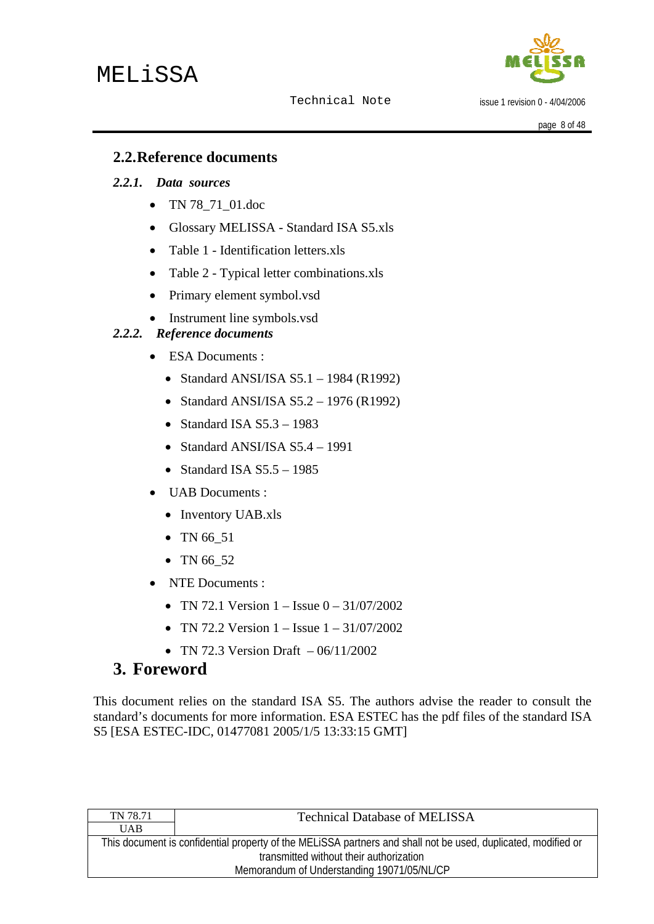

issue 1 revision 0 - 4/04/2006

page 8 of 48

## <span id="page-7-0"></span>**2.2.Reference documents**

#### *2.2.1. Data sources*

- TN 78 71 01.doc
- Glossary MELISSA Standard ISA S5.xls
- Table 1 Identification letters.xls
- Table 2 Typical letter combinations.xls
- Primary element symbol.vsd
- Instrument line symbols.vsd

#### *2.2.2. Reference documents*

- ESA Documents :
	- Standard ANSI/ISA S5.1 1984 (R1992)
	- Standard ANSI/ISA S5.2 1976 (R1992)
	- Standard ISA  $S5.3 1983$
	- Standard ANSI/ISA S5.4 1991
	- Standard ISA  $S5.5 1985$
- **UAB** Documents :
	- Inventory UAB.xls
	- TN 66 51
	- TN 66 52
- NTE Documents :
	- TN 72.1 Version  $1 -$  Issue  $0 31/07/2002$
	- TN 72.2 Version  $1 -$  Issue  $1 31/07/2002$
	- TN 72.3 Version Draft  $-06/11/2002$

# **3. Foreword**

This document relies on the standard ISA S5. The authors advise the reader to consult the standard's documents for more information. ESA ESTEC has the pdf files of the standard ISA S5 [ESA ESTEC-IDC, 01477081 2005/1/5 13:33:15 GMT]

| TN 78.71                                                                                                      | <b>Technical Database of MELISSA</b> |  |
|---------------------------------------------------------------------------------------------------------------|--------------------------------------|--|
| <b>UAB</b>                                                                                                    |                                      |  |
| This document is confidential property of the MELISSA partners and shall not be used, duplicated, modified or |                                      |  |
| transmitted without their authorization                                                                       |                                      |  |
| Memorandum of Understanding 19071/05/NL/CP                                                                    |                                      |  |
|                                                                                                               |                                      |  |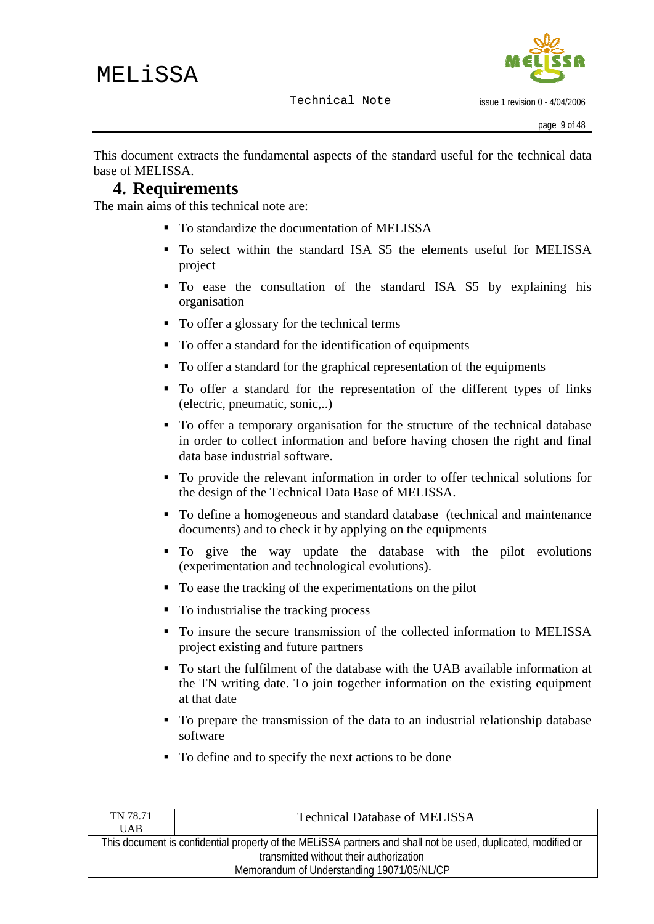

<span id="page-8-0"></span>This document extracts the fundamental aspects of the standard useful for the technical data base of MELISSA.

## **4. Requirements**

The main aims of this technical note are:

- To standardize the documentation of MELISSA
- To select within the standard ISA S5 the elements useful for MELISSA project
- To ease the consultation of the standard ISA S5 by explaining his organisation
- To offer a glossary for the technical terms
- To offer a standard for the identification of equipments
- To offer a standard for the graphical representation of the equipments
- To offer a standard for the representation of the different types of links (electric, pneumatic, sonic,..)
- To offer a temporary organisation for the structure of the technical database in order to collect information and before having chosen the right and final data base industrial software.
- To provide the relevant information in order to offer technical solutions for the design of the Technical Data Base of MELISSA.
- To define a homogeneous and standard database (technical and maintenance documents) and to check it by applying on the equipments
- To give the way update the database with the pilot evolutions (experimentation and technological evolutions).
- To ease the tracking of the experimentations on the pilot
- To industrialise the tracking process
- To insure the secure transmission of the collected information to MELISSA project existing and future partners
- To start the fulfilment of the database with the UAB available information at the TN writing date. To join together information on the existing equipment at that date
- To prepare the transmission of the data to an industrial relationship database software
- To define and to specify the next actions to be done

| TN 78.71                                                                                                      | <b>Technical Database of MELISSA</b> |  |
|---------------------------------------------------------------------------------------------------------------|--------------------------------------|--|
| <b>UAB</b>                                                                                                    |                                      |  |
| This document is confidential property of the MELISSA partners and shall not be used, duplicated, modified or |                                      |  |
| transmitted without their authorization                                                                       |                                      |  |
| Memorandum of Understanding 19071/05/NL/CP                                                                    |                                      |  |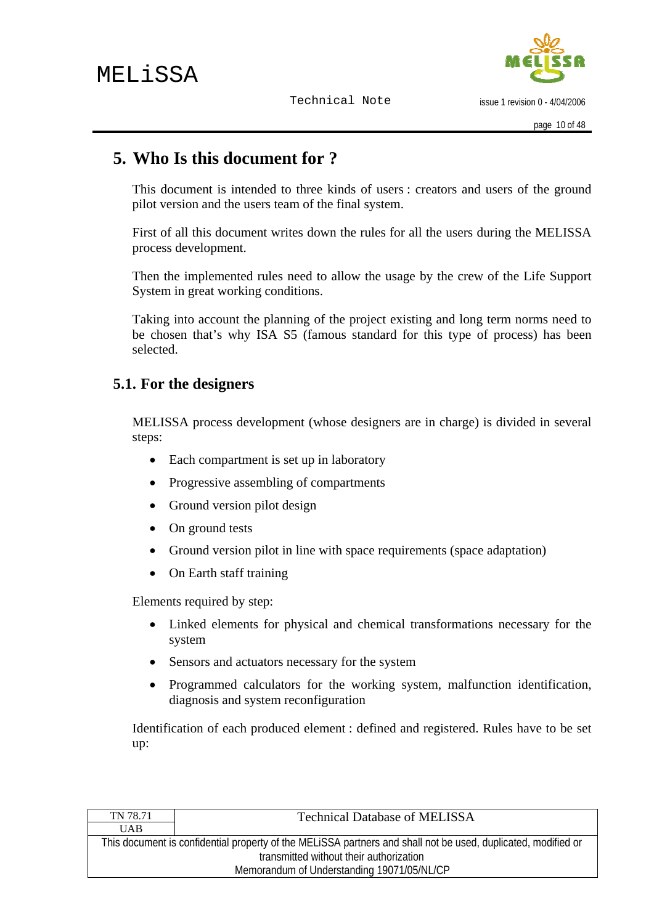issue 1 revision 0 - 4/04/2006

# <span id="page-9-0"></span>**5. Who Is this document for ?**

This document is intended to three kinds of users : creators and users of the ground pilot version and the users team of the final system.

First of all this document writes down the rules for all the users during the MELISSA process development.

Then the implemented rules need to allow the usage by the crew of the Life Support System in great working conditions.

Taking into account the planning of the project existing and long term norms need to be chosen that's why ISA S5 (famous standard for this type of process) has been selected.

# **5.1. For the designers**

MELISSA process development (whose designers are in charge) is divided in several steps:

- Each compartment is set up in laboratory
- Progressive assembling of compartments
- Ground version pilot design
- On ground tests
- Ground version pilot in line with space requirements (space adaptation)
- On Earth staff training

Elements required by step:

- Linked elements for physical and chemical transformations necessary for the system
- Sensors and actuators necessary for the system
- Programmed calculators for the working system, malfunction identification, diagnosis and system reconfiguration

Identification of each produced element : defined and registered. Rules have to be set up:

| <b>Technical Database of MELISSA</b>                                                                          |  |  |
|---------------------------------------------------------------------------------------------------------------|--|--|
|                                                                                                               |  |  |
| This document is confidential property of the MELISSA partners and shall not be used, duplicated, modified or |  |  |
| transmitted without their authorization                                                                       |  |  |
| Memorandum of Understanding 19071/05/NL/CP                                                                    |  |  |
|                                                                                                               |  |  |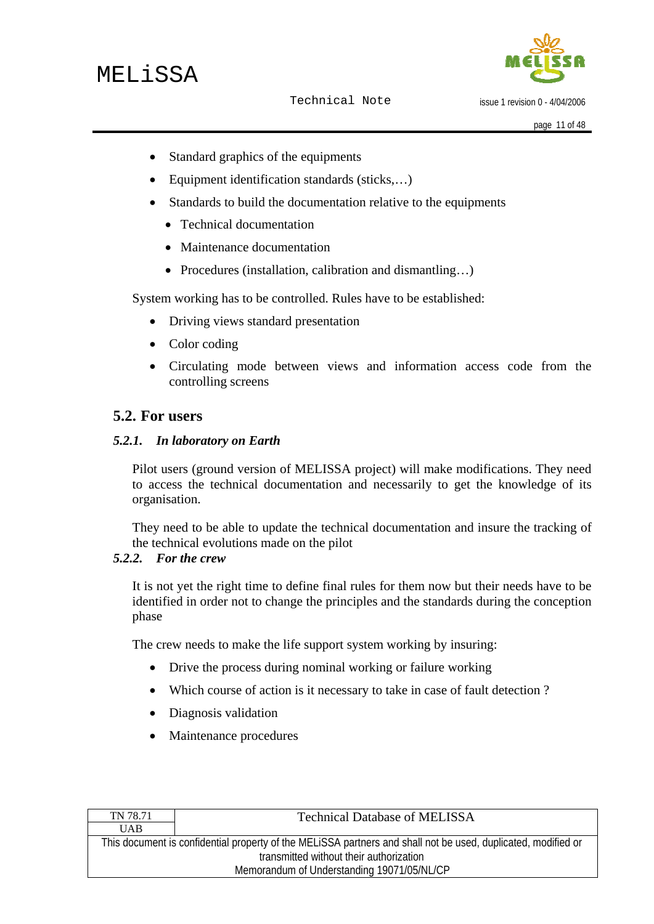

issue 1 revision 0 - 4/04/2006

- <span id="page-10-0"></span>• Standard graphics of the equipments
- Equipment identification standards (sticks,…)
- Standards to build the documentation relative to the equipments
	- Technical documentation
	- Maintenance documentation
	- Procedures (installation, calibration and dismantling...)

System working has to be controlled. Rules have to be established:

- Driving views standard presentation
- Color coding
- Circulating mode between views and information access code from the controlling screens

## **5.2. For users**

#### *5.2.1. In laboratory on Earth*

Pilot users (ground version of MELISSA project) will make modifications. They need to access the technical documentation and necessarily to get the knowledge of its organisation.

They need to be able to update the technical documentation and insure the tracking of the technical evolutions made on the pilot

#### *5.2.2. For the crew*

It is not yet the right time to define final rules for them now but their needs have to be identified in order not to change the principles and the standards during the conception phase

The crew needs to make the life support system working by insuring:

- Drive the process during nominal working or failure working
- Which course of action is it necessary to take in case of fault detection?
- Diagnosis validation
- Maintenance procedures

| TN 78.71                                                                                                      | <b>Technical Database of MELISSA</b> |  |
|---------------------------------------------------------------------------------------------------------------|--------------------------------------|--|
| <b>UAB</b>                                                                                                    |                                      |  |
| This document is confidential property of the MELISSA partners and shall not be used, duplicated, modified or |                                      |  |
| transmitted without their authorization                                                                       |                                      |  |
| Memorandum of Understanding 19071/05/NL/CP                                                                    |                                      |  |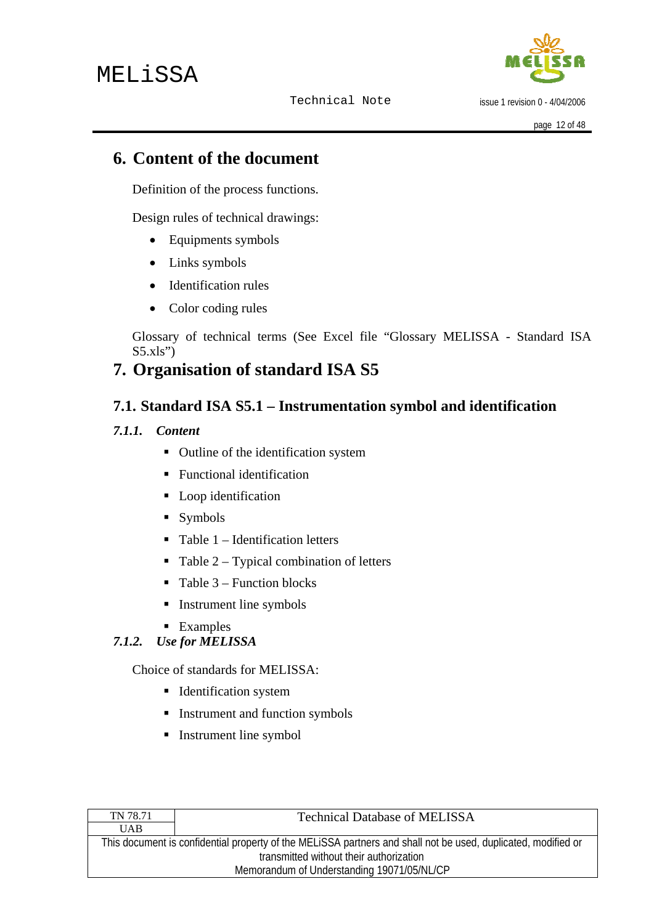

issue 1 revision 0 - 4/04/2006

# <span id="page-11-0"></span>**6. Content of the document**

Definition of the process functions.

Design rules of technical drawings:

- Equipments symbols
- Links symbols
- Identification rules
- Color coding rules

Glossary of technical terms (See Excel file "Glossary MELISSA - Standard ISA  $S5.xls"$ 

# **7. Organisation of standard ISA S5**

# **7.1. Standard ISA S5.1 – Instrumentation symbol and identification**

#### *7.1.1. Content*

- Outline of the identification system
- **Functional identification**
- **Loop** identification
- Symbols
- $\blacksquare$  Table 1 Identification letters
- $\blacksquare$  Table 2 Typical combination of letters
- $\blacksquare$  Table 3 Function blocks
- **Instrument line symbols**
- **Examples**

# *7.1.2. Use for MELISSA*

Choice of standards for MELISSA:

- **I** Identification system
- **Instrument and function symbols**
- **Instrument line symbol**

| TN 78.71                                                                                                      | <b>Technical Database of MELISSA</b> |  |
|---------------------------------------------------------------------------------------------------------------|--------------------------------------|--|
| <b>UAB</b>                                                                                                    |                                      |  |
| This document is confidential property of the MELISSA partners and shall not be used, duplicated, modified or |                                      |  |
| transmitted without their authorization                                                                       |                                      |  |
| Memorandum of Understanding 19071/05/NL/CP                                                                    |                                      |  |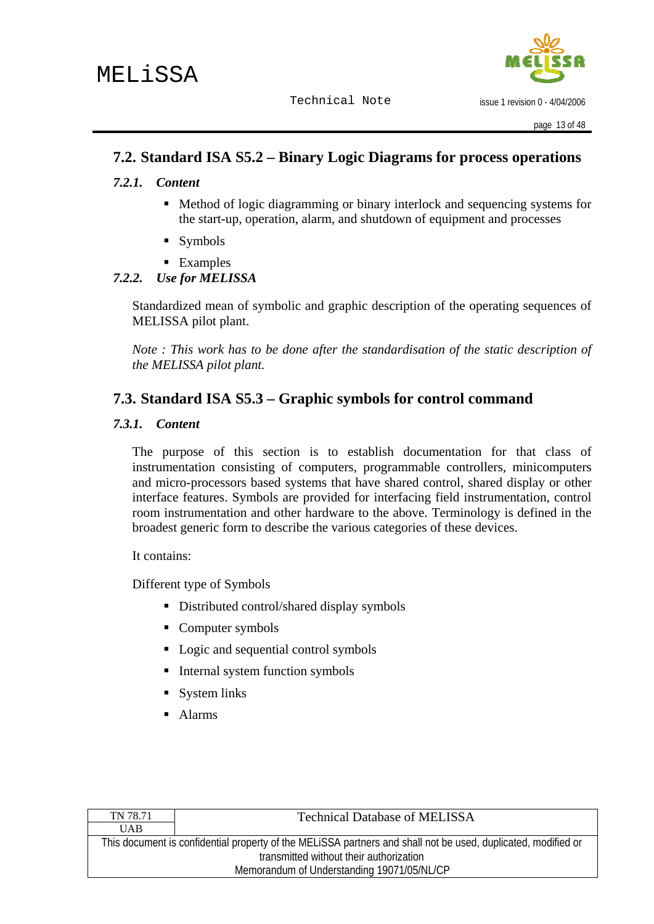

issue 1 revision 0 - 4/04/2006

## <span id="page-12-0"></span>**7.2. Standard ISA S5.2 – Binary Logic Diagrams for process operations**

#### *7.2.1. Content*

- Method of logic diagramming or binary interlock and sequencing systems for the start-up, operation, alarm, and shutdown of equipment and processes
- Symbols
- **Examples**

#### *7.2.2. Use for MELISSA*

Standardized mean of symbolic and graphic description of the operating sequences of MELISSA pilot plant.

*Note : This work has to be done after the standardisation of the static description of the MELISSA pilot plant.* 

## **7.3. Standard ISA S5.3 – Graphic symbols for control command**

#### *7.3.1. Content*

The purpose of this section is to establish documentation for that class of instrumentation consisting of computers, programmable controllers, minicomputers and micro-processors based systems that have shared control, shared display or other interface features. Symbols are provided for interfacing field instrumentation, control room instrumentation and other hardware to the above. Terminology is defined in the broadest generic form to describe the various categories of these devices.

It contains:

Different type of Symbols

- Distributed control/shared display symbols
- Computer symbols
- Logic and sequential control symbols
- $\blacksquare$  Internal system function symbols
- System links
- Alarms

| TN 78.71                                                                                                      | <b>Technical Database of MELISSA</b> |  |
|---------------------------------------------------------------------------------------------------------------|--------------------------------------|--|
| <b>UAB</b>                                                                                                    |                                      |  |
| This document is confidential property of the MELISSA partners and shall not be used, duplicated, modified or |                                      |  |
| transmitted without their authorization                                                                       |                                      |  |
| Memorandum of Understanding 19071/05/NL/CP                                                                    |                                      |  |
|                                                                                                               |                                      |  |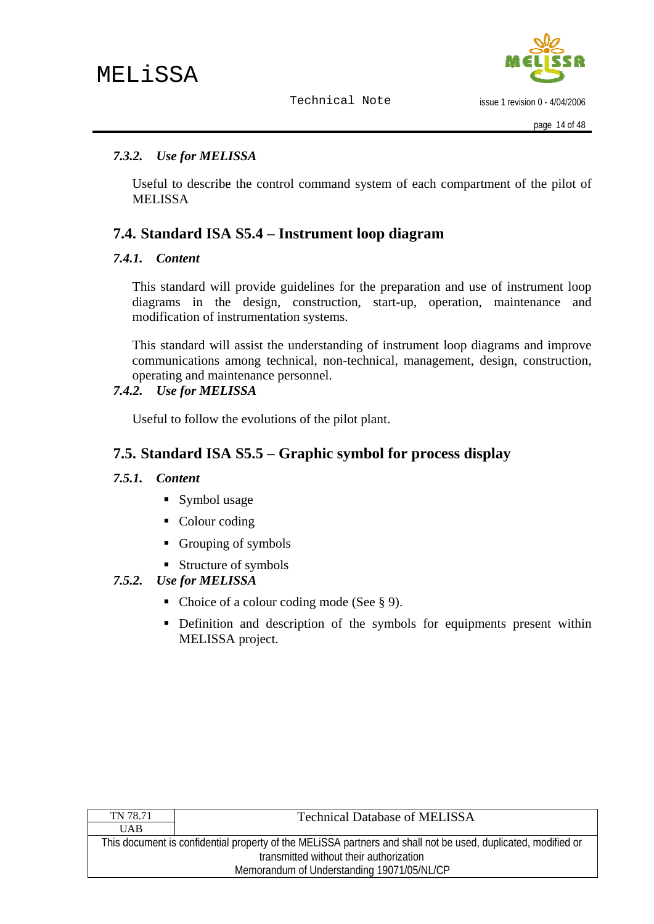issue 1 revision 0 - 4/04/2006

#### <span id="page-13-0"></span>*7.3.2. Use for MELISSA*

Useful to describe the control command system of each compartment of the pilot of **MELISSA** 

## **7.4. Standard ISA S5.4 – Instrument loop diagram**

#### *7.4.1. Content*

This standard will provide guidelines for the preparation and use of instrument loop diagrams in the design, construction, start-up, operation, maintenance and modification of instrumentation systems.

This standard will assist the understanding of instrument loop diagrams and improve communications among technical, non-technical, management, design, construction, operating and maintenance personnel.

#### *7.4.2. Use for MELISSA*

Useful to follow the evolutions of the pilot plant.

## **7.5. Standard ISA S5.5 – Graphic symbol for process display**

#### *7.5.1. Content*

- Symbol usage
- Colour coding
- Grouping of symbols
- Structure of symbols

#### *7.5.2. Use for MELISSA*

- Choice of a colour coding mode (See  $\S$  9).
- Definition and description of the symbols for equipments present within MELISSA project.

| TN 78.71                                                                                                      | <b>Technical Database of MELISSA</b> |  |
|---------------------------------------------------------------------------------------------------------------|--------------------------------------|--|
| <b>UAB</b>                                                                                                    |                                      |  |
| This document is confidential property of the MELISSA partners and shall not be used, duplicated, modified or |                                      |  |
| transmitted without their authorization                                                                       |                                      |  |
| Memorandum of Understanding 19071/05/NL/CP                                                                    |                                      |  |
|                                                                                                               |                                      |  |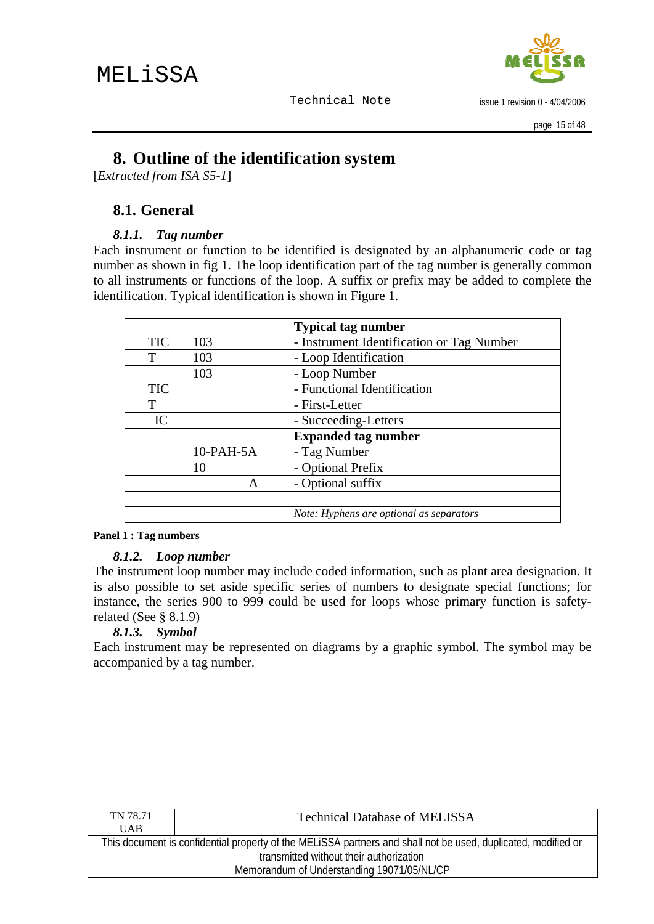

issue 1 revision 0 - 4/04/2006

# <span id="page-14-0"></span>**8. Outline of the identification system**

[*Extracted from ISA S5-1*]

## **8.1. General**

#### *8.1.1. Tag number*

Each instrument or function to be identified is designated by an alphanumeric code or tag number as shown in fig 1. The loop identification part of the tag number is generally common to all instruments or functions of the loop. A suffix or prefix may be added to complete the identification. Typical identification is shown in Figure 1.

|            |              | <b>Typical tag number</b>                 |
|------------|--------------|-------------------------------------------|
| <b>TIC</b> | 103          | - Instrument Identification or Tag Number |
| T          | 103          | - Loop Identification                     |
|            | 103          | - Loop Number                             |
| <b>TIC</b> |              | - Functional Identification               |
| T          |              | - First-Letter                            |
| IC         |              | - Succeeding-Letters                      |
|            |              | <b>Expanded tag number</b>                |
|            | $10$ -PAH-5A | - Tag Number                              |
|            | 10           | - Optional Prefix                         |
|            |              | - Optional suffix                         |
|            |              |                                           |
|            |              | Note: Hyphens are optional as separators  |

#### **Panel 1 : Tag numbers**

#### *8.1.2. Loop number*

The instrument loop number may include coded information, such as plant area designation. It is also possible to set aside specific series of numbers to designate special functions; for instance, the series 900 to 999 could be used for loops whose primary function is safetyrelated (See § 8.1.9)

#### *8.1.3. Symbol*

Each instrument may be represented on diagrams by a graphic symbol. The symbol may be accompanied by a tag number.

| TN 78.71                                                                                                      | <b>Technical Database of MELISSA</b> |  |
|---------------------------------------------------------------------------------------------------------------|--------------------------------------|--|
| <b>UAB</b>                                                                                                    |                                      |  |
| This document is confidential property of the MELISSA partners and shall not be used, duplicated, modified or |                                      |  |
| transmitted without their authorization                                                                       |                                      |  |
| Memorandum of Understanding 19071/05/NL/CP                                                                    |                                      |  |
|                                                                                                               |                                      |  |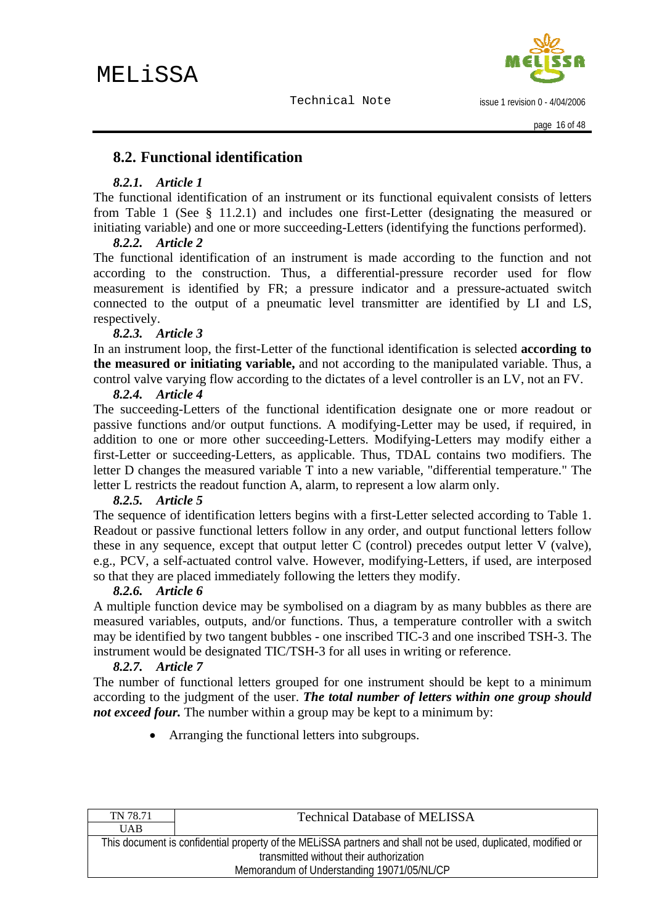issue 1 revision 0 - 4/04/2006

## <span id="page-15-0"></span>**8.2. Functional identification**

#### *8.2.1. Article 1*

The functional identification of an instrument or its functional equivalent consists of letters from Table 1 (See § 11.2.1) and includes one first-Letter (designating the measured or initiating variable) and one or more succeeding-Letters (identifying the functions performed).

#### *8.2.2. Article 2*

The functional identification of an instrument is made according to the function and not according to the construction. Thus, a differential-pressure recorder used for flow measurement is identified by FR; a pressure indicator and a pressure-actuated switch connected to the output of a pneumatic level transmitter are identified by LI and LS, respectively.

#### *8.2.3. Article 3*

In an instrument loop, the first-Letter of the functional identification is selected **according to the measured or initiating variable,** and not according to the manipulated variable. Thus, a control valve varying flow according to the dictates of a level controller is an LV, not an FV.

#### *8.2.4. Article 4*

The succeeding-Letters of the functional identification designate one or more readout or passive functions and/or output functions. A modifying-Letter may be used, if required, in addition to one or more other succeeding-Letters. Modifying-Letters may modify either a first-Letter or succeeding-Letters, as applicable. Thus, TDAL contains two modifiers. The letter D changes the measured variable T into a new variable, "differential temperature." The letter L restricts the readout function A, alarm, to represent a low alarm only.

#### *8.2.5. Article 5*

The sequence of identification letters begins with a first-Letter selected according to Table 1. Readout or passive functional letters follow in any order, and output functional letters follow these in any sequence, except that output letter C (control) precedes output letter V (valve), e.g., PCV, a self-actuated control valve. However, modifying-Letters, if used, are interposed so that they are placed immediately following the letters they modify.

#### *8.2.6. Article 6*

A multiple function device may be symbolised on a diagram by as many bubbles as there are measured variables, outputs, and/or functions. Thus, a temperature controller with a switch may be identified by two tangent bubbles - one inscribed TIC-3 and one inscribed TSH-3. The instrument would be designated TIC/TSH-3 for all uses in writing or reference.

#### *8.2.7. Article 7*

The number of functional letters grouped for one instrument should be kept to a minimum according to the judgment of the user. *The total number of letters within one group should not exceed four.* The number within a group may be kept to a minimum by:

• Arranging the functional letters into subgroups.

| TN 78.71                                                                                                      | <b>Technical Database of MELISSA</b> |  |
|---------------------------------------------------------------------------------------------------------------|--------------------------------------|--|
| <b>UAB</b>                                                                                                    |                                      |  |
| This document is confidential property of the MELISSA partners and shall not be used, duplicated, modified or |                                      |  |
| transmitted without their authorization                                                                       |                                      |  |
| Memorandum of Understanding 19071/05/NL/CP                                                                    |                                      |  |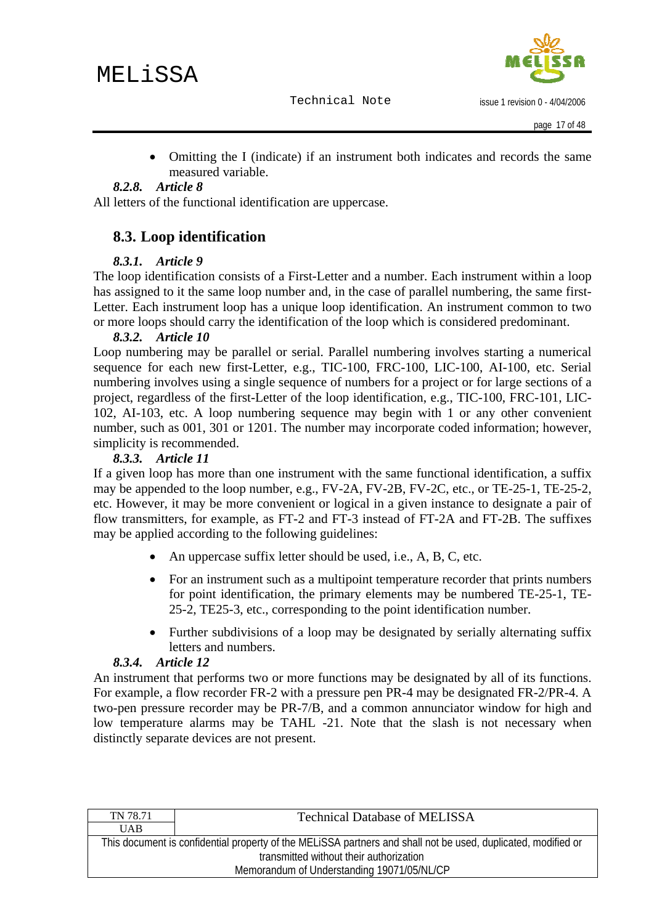issue 1 revision 0 - 4/04/2006

<span id="page-16-0"></span>• Omitting the I (indicate) if an instrument both indicates and records the same measured variable.

#### *8.2.8. Article 8*

All letters of the functional identification are uppercase.

## **8.3. Loop identification**

#### *8.3.1. Article 9*

The loop identification consists of a First-Letter and a number. Each instrument within a loop has assigned to it the same loop number and, in the case of parallel numbering, the same first-Letter. Each instrument loop has a unique loop identification. An instrument common to two or more loops should carry the identification of the loop which is considered predominant.

#### *8.3.2. Article 10*

Loop numbering may be parallel or serial. Parallel numbering involves starting a numerical sequence for each new first-Letter, e.g., TIC-100, FRC-100, LIC-100, AI-100, etc. Serial numbering involves using a single sequence of numbers for a project or for large sections of a project, regardless of the first-Letter of the loop identification, e.g., TIC-100, FRC-101, LIC-102, AI-103, etc. A loop numbering sequence may begin with 1 or any other convenient number, such as 001, 301 or 1201. The number may incorporate coded information; however, simplicity is recommended.

#### *8.3.3. Article 11*

If a given loop has more than one instrument with the same functional identification, a suffix may be appended to the loop number, e.g., FV-2A, FV-2B, FV-2C, etc., or TE-25-1, TE-25-2, etc. However, it may be more convenient or logical in a given instance to designate a pair of flow transmitters, for example, as FT-2 and FT-3 instead of FT-2A and FT-2B. The suffixes may be applied according to the following guidelines:

- An uppercase suffix letter should be used, i.e., A, B, C, etc.
- For an instrument such as a multipoint temperature recorder that prints numbers for point identification, the primary elements may be numbered TE-25-1, TE-25-2, TE25-3, etc., corresponding to the point identification number.
- Further subdivisions of a loop may be designated by serially alternating suffix letters and numbers.

#### *8.3.4. Article 12*

An instrument that performs two or more functions may be designated by all of its functions. For example, a flow recorder FR-2 with a pressure pen PR-4 may be designated FR-2/PR-4. A two-pen pressure recorder may be PR-7/B, and a common annunciator window for high and low temperature alarms may be TAHL -21. Note that the slash is not necessary when distinctly separate devices are not present.

| This document is confidential property of the MELISSA partners and shall not be used, duplicated, modified or |  |  |
|---------------------------------------------------------------------------------------------------------------|--|--|
|                                                                                                               |  |  |
|                                                                                                               |  |  |
|                                                                                                               |  |  |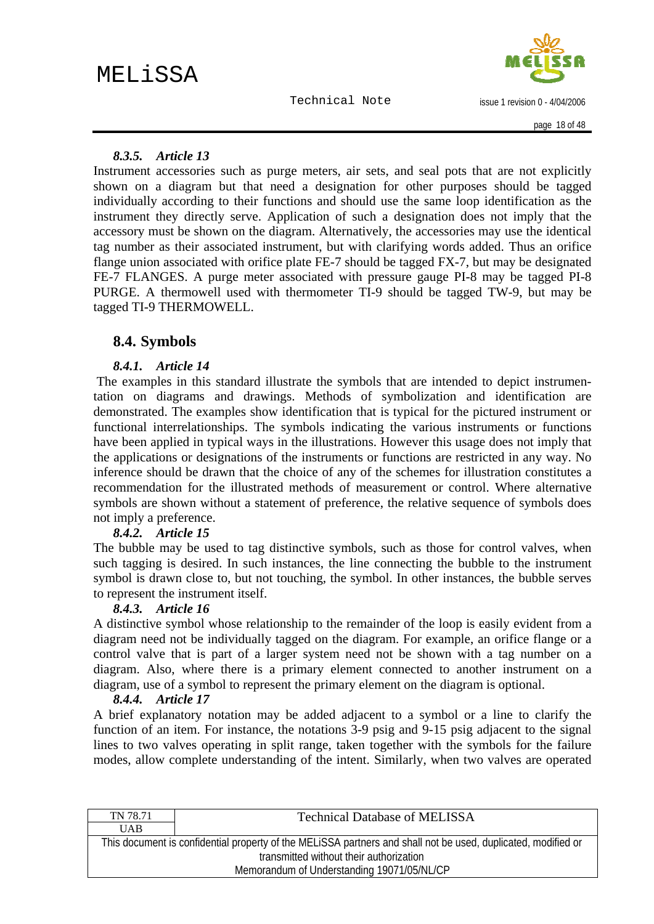issue 1 revision 0 - 4/04/2006

#### <span id="page-17-0"></span>*8.3.5. Article 13*

Instrument accessories such as purge meters, air sets, and seal pots that are not explicitly shown on a diagram but that need a designation for other purposes should be tagged individually according to their functions and should use the same loop identification as the instrument they directly serve. Application of such a designation does not imply that the accessory must be shown on the diagram. Alternatively, the accessories may use the identical tag number as their associated instrument, but with clarifying words added. Thus an orifice flange union associated with orifice plate FE-7 should be tagged FX-7, but may be designated FE-7 FLANGES. A purge meter associated with pressure gauge PI-8 may be tagged PI-8 PURGE. A thermowell used with thermometer TI-9 should be tagged TW-9, but may be tagged TI-9 THERMOWELL.

## **8.4. Symbols**

#### *8.4.1. Article 14*

 The examples in this standard illustrate the symbols that are intended to depict instrumentation on diagrams and drawings. Methods of symbolization and identification are demonstrated. The examples show identification that is typical for the pictured instrument or functional interrelationships. The symbols indicating the various instruments or functions have been applied in typical ways in the illustrations. However this usage does not imply that the applications or designations of the instruments or functions are restricted in any way. No inference should be drawn that the choice of any of the schemes for illustration constitutes a recommendation for the illustrated methods of measurement or control. Where alternative symbols are shown without a statement of preference, the relative sequence of symbols does not imply a preference.

#### *8.4.2. Article 15*

The bubble may be used to tag distinctive symbols, such as those for control valves, when such tagging is desired. In such instances, the line connecting the bubble to the instrument symbol is drawn close to, but not touching, the symbol. In other instances, the bubble serves to represent the instrument itself.

#### *8.4.3. Article 16*

A distinctive symbol whose relationship to the remainder of the loop is easily evident from a diagram need not be individually tagged on the diagram. For example, an orifice flange or a control valve that is part of a larger system need not be shown with a tag number on a diagram. Also, where there is a primary element connected to another instrument on a diagram, use of a symbol to represent the primary element on the diagram is optional.

#### *8.4.4. Article 17*

A brief explanatory notation may be added adjacent to a symbol or a line to clarify the function of an item. For instance, the notations 3-9 psig and 9-15 psig adjacent to the signal lines to two valves operating in split range, taken together with the symbols for the failure modes, allow complete understanding of the intent. Similarly, when two valves are operated

| TN 78.71                                                                                                      | <b>Technical Database of MELISSA</b> |  |
|---------------------------------------------------------------------------------------------------------------|--------------------------------------|--|
| <b>UAB</b>                                                                                                    |                                      |  |
| This document is confidential property of the MELISSA partners and shall not be used, duplicated, modified or |                                      |  |
| transmitted without their authorization                                                                       |                                      |  |
| Memorandum of Understanding 19071/05/NL/CP                                                                    |                                      |  |
|                                                                                                               |                                      |  |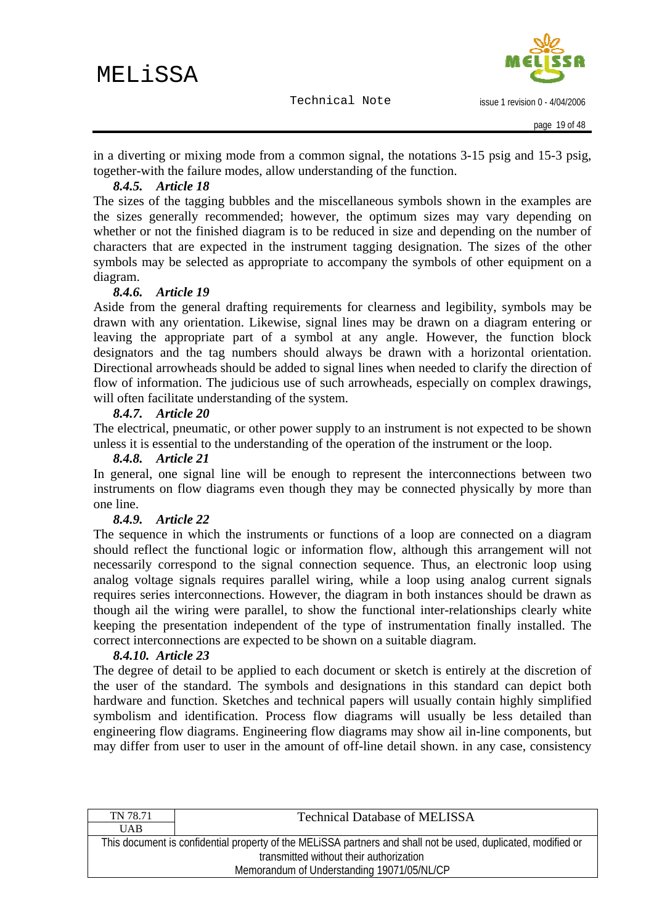issue 1 revision 0 - 4/04/2006

<span id="page-18-0"></span>in a diverting or mixing mode from a common signal, the notations 3-15 psig and 15-3 psig, together-with the failure modes, allow understanding of the function.

#### *8.4.5. Article 18*

The sizes of the tagging bubbles and the miscellaneous symbols shown in the examples are the sizes generally recommended; however, the optimum sizes may vary depending on whether or not the finished diagram is to be reduced in size and depending on the number of characters that are expected in the instrument tagging designation. The sizes of the other symbols may be selected as appropriate to accompany the symbols of other equipment on a diagram.

#### *8.4.6. Article 19*

Aside from the general drafting requirements for clearness and legibility, symbols may be drawn with any orientation. Likewise, signal lines may be drawn on a diagram entering or leaving the appropriate part of a symbol at any angle. However, the function block designators and the tag numbers should always be drawn with a horizontal orientation. Directional arrowheads should be added to signal lines when needed to clarify the direction of flow of information. The judicious use of such arrowheads, especially on complex drawings, will often facilitate understanding of the system.

#### *8.4.7. Article 20*

The electrical, pneumatic, or other power supply to an instrument is not expected to be shown unless it is essential to the understanding of the operation of the instrument or the loop.

#### *8.4.8. Article 21*

In general, one signal line will be enough to represent the interconnections between two instruments on flow diagrams even though they may be connected physically by more than one line.

#### *8.4.9. Article 22*

The sequence in which the instruments or functions of a loop are connected on a diagram should reflect the functional logic or information flow, although this arrangement will not necessarily correspond to the signal connection sequence. Thus, an electronic loop using analog voltage signals requires parallel wiring, while a loop using analog current signals requires series interconnections. However, the diagram in both instances should be drawn as though ail the wiring were parallel, to show the functional inter-relationships clearly white keeping the presentation independent of the type of instrumentation finally installed. The correct interconnections are expected to be shown on a suitable diagram.

#### *8.4.10. Article 23*

The degree of detail to be applied to each document or sketch is entirely at the discretion of the user of the standard. The symbols and designations in this standard can depict both hardware and function. Sketches and technical papers will usually contain highly simplified symbolism and identification. Process flow diagrams will usually be less detailed than engineering flow diagrams. Engineering flow diagrams may show ail in-line components, but may differ from user to user in the amount of off-line detail shown. in any case, consistency

| TN 78.71                                   | <b>Technical Database of MELISSA</b>                                                                          |  |  |  |
|--------------------------------------------|---------------------------------------------------------------------------------------------------------------|--|--|--|
| <b>UAB</b>                                 |                                                                                                               |  |  |  |
|                                            | This document is confidential property of the MELISSA partners and shall not be used, duplicated, modified or |  |  |  |
|                                            | transmitted without their authorization                                                                       |  |  |  |
| Memorandum of Understanding 19071/05/NL/CP |                                                                                                               |  |  |  |
|                                            |                                                                                                               |  |  |  |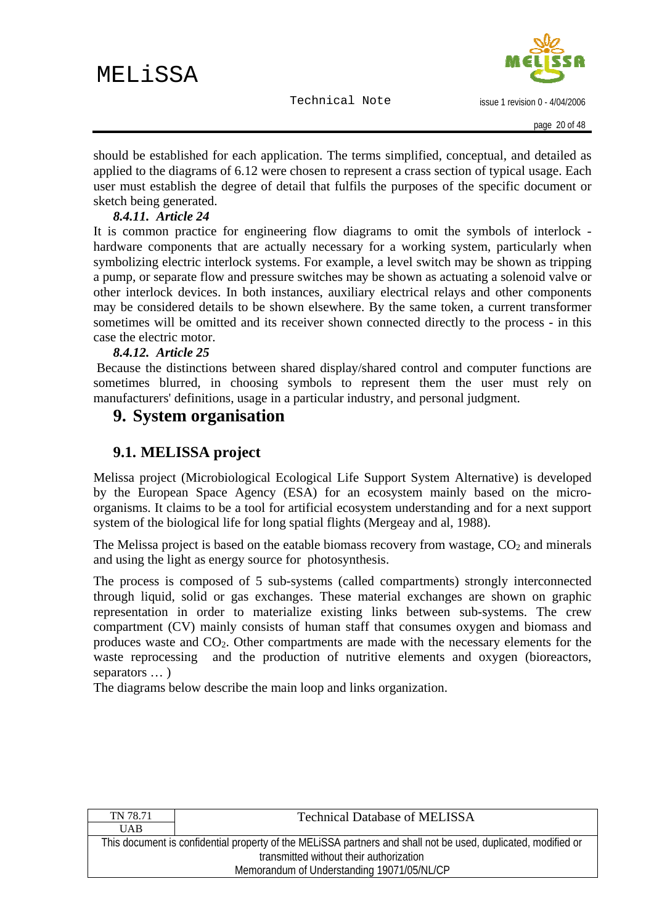issue 1 revision 0 - 4/04/2006

<span id="page-19-0"></span>should be established for each application. The terms simplified, conceptual, and detailed as applied to the diagrams of 6.12 were chosen to represent a crass section of typical usage. Each user must establish the degree of detail that fulfils the purposes of the specific document or sketch being generated.

#### *8.4.11. Article 24*

It is common practice for engineering flow diagrams to omit the symbols of interlock hardware components that are actually necessary for a working system, particularly when symbolizing electric interlock systems. For example, a level switch may be shown as tripping a pump, or separate flow and pressure switches may be shown as actuating a solenoid valve or other interlock devices. In both instances, auxiliary electrical relays and other components may be considered details to be shown elsewhere. By the same token, a current transformer sometimes will be omitted and its receiver shown connected directly to the process - in this case the electric motor.

#### *8.4.12. Article 25*

 Because the distinctions between shared display/shared control and computer functions are sometimes blurred, in choosing symbols to represent them the user must rely on manufacturers' definitions, usage in a particular industry, and personal judgment.

## **9. System organisation**

## **9.1. MELISSA project**

Melissa project (Microbiological Ecological Life Support System Alternative) is developed by the European Space Agency (ESA) for an ecosystem mainly based on the microorganisms. It claims to be a tool for artificial ecosystem understanding and for a next support system of the biological life for long spatial flights (Mergeay and al, 1988).

The Melissa project is based on the eatable biomass recovery from wastage,  $CO<sub>2</sub>$  and minerals and using the light as energy source for photosynthesis.

The process is composed of 5 sub-systems (called compartments) strongly interconnected through liquid, solid or gas exchanges. These material exchanges are shown on graphic representation in order to materialize existing links between sub-systems. The crew compartment (CV) mainly consists of human staff that consumes oxygen and biomass and produces waste and  $CO<sub>2</sub>$ . Other compartments are made with the necessary elements for the waste reprocessing and the production of nutritive elements and oxygen (bioreactors, separators … )

The diagrams below describe the main loop and links organization.

| TN 78.71                                                                                                      | <b>Technical Database of MELISSA</b> |  |  |  |
|---------------------------------------------------------------------------------------------------------------|--------------------------------------|--|--|--|
| <b>UAB</b>                                                                                                    |                                      |  |  |  |
| This document is confidential property of the MELISSA partners and shall not be used, duplicated, modified or |                                      |  |  |  |
| transmitted without their authorization                                                                       |                                      |  |  |  |
| Memorandum of Understanding 19071/05/NL/CP                                                                    |                                      |  |  |  |
|                                                                                                               |                                      |  |  |  |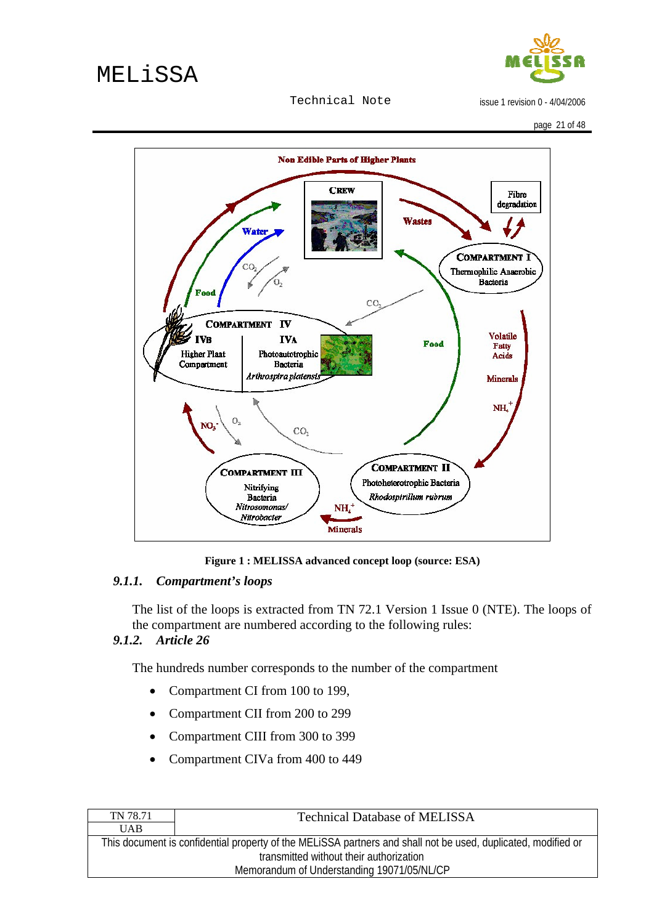

issue 1 revision 0 - 4/04/2006

<span id="page-20-0"></span>

**Figure 1 : MELISSA advanced concept loop (source: ESA)** 

#### *9.1.1. Compartment's loops*

The list of the loops is extracted from TN 72.1 Version 1 Issue 0 (NTE). The loops of the compartment are numbered according to the following rules:

#### *9.1.2. Article 26*

The hundreds number corresponds to the number of the compartment

- Compartment CI from 100 to 199,
- Compartment CII from 200 to 299
- Compartment CIII from 300 to 399
- Compartment CIVa from 400 to 449

| TN 78.71                                   | <b>Technical Database of MELISSA</b>                                                                          |  |  |  |
|--------------------------------------------|---------------------------------------------------------------------------------------------------------------|--|--|--|
| <b>UAB</b>                                 |                                                                                                               |  |  |  |
|                                            | This document is confidential property of the MELISSA partners and shall not be used, duplicated, modified or |  |  |  |
|                                            | transmitted without their authorization                                                                       |  |  |  |
| Memorandum of Understanding 19071/05/NL/CP |                                                                                                               |  |  |  |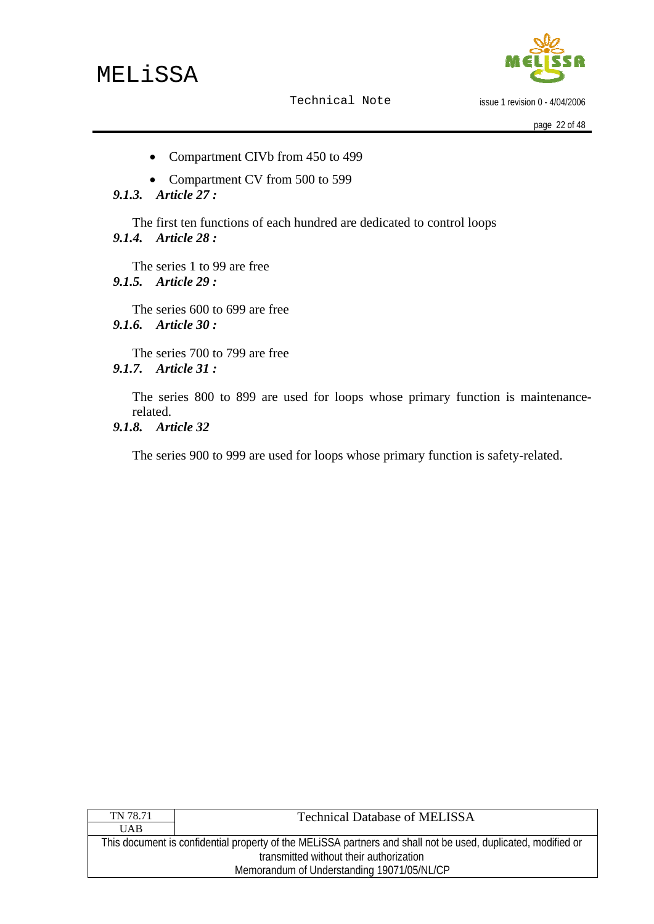

issue 1 revision 0 - 4/04/2006

- <span id="page-21-0"></span>• Compartment CIVb from 450 to 499
- Compartment CV from 500 to 599
- *9.1.3. Article 27 :*

The first ten functions of each hundred are dedicated to control loops *9.1.4. Article 28 :* 

The series 1 to 99 are free *9.1.5. Article 29 :* 

The series 600 to 699 are free *9.1.6. Article 30 :* 

The series 700 to 799 are free *9.1.7. Article 31 :* 

> The series 800 to 899 are used for loops whose primary function is maintenancerelated.

*9.1.8. Article 32* 

The series 900 to 999 are used for loops whose primary function is safety-related.

| TN 78.71                                   | <b>Technical Database of MELISSA</b>                                                                          |  |  |  |
|--------------------------------------------|---------------------------------------------------------------------------------------------------------------|--|--|--|
| <b>UAB</b>                                 |                                                                                                               |  |  |  |
|                                            | This document is confidential property of the MELISSA partners and shall not be used, duplicated, modified or |  |  |  |
|                                            | transmitted without their authorization                                                                       |  |  |  |
| Memorandum of Understanding 19071/05/NL/CP |                                                                                                               |  |  |  |
|                                            |                                                                                                               |  |  |  |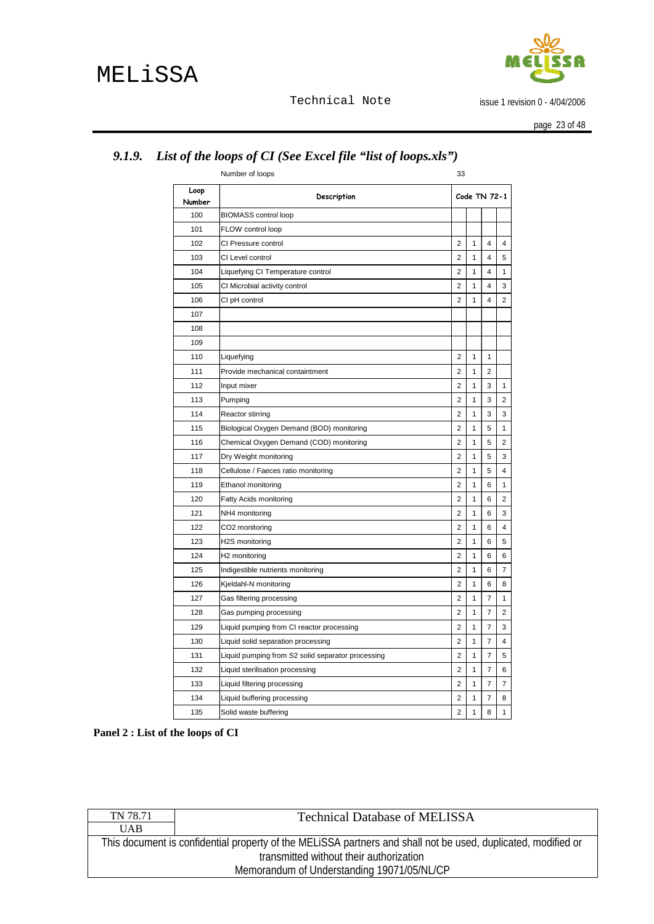

issue 1 revision 0 - 4/04/2006

page 23 of 48

|                | Number of loops                                   | 33             |              |                |                         |
|----------------|---------------------------------------------------|----------------|--------------|----------------|-------------------------|
| Loop<br>Number | Description                                       |                |              | Code TN 72-1   |                         |
| 100            | <b>BIOMASS control loop</b>                       |                |              |                |                         |
| 101            | FLOW control loop                                 |                |              |                |                         |
| 102            | CI Pressure control                               | $\overline{2}$ | $\mathbf{1}$ | 4              | $\overline{4}$          |
| 103            | CI Level control                                  | $\overline{2}$ | 1            | 4              | 5                       |
| 104            | Liquefying CI Temperature control                 | $\overline{2}$ | 1            | 4              | 1                       |
| 105            | CI Microbial activity control                     | $\overline{2}$ | $\mathbf{1}$ | 4              | 3                       |
| 106            | CI pH control                                     | $\overline{2}$ | $\mathbf{1}$ | 4              | $\overline{2}$          |
| 107            |                                                   |                |              |                |                         |
| 108            |                                                   |                |              |                |                         |
| 109            |                                                   |                |              |                |                         |
| 110            | Liquefying                                        | $\overline{2}$ | 1            | 1              |                         |
| 111            | Provide mechanical containtment                   | 2              | 1            | $\overline{2}$ |                         |
| 112            | Input mixer                                       | $\overline{2}$ | $\mathbf{1}$ | 3              | 1                       |
| 113            | Pumping                                           | $\overline{2}$ | $\mathbf{1}$ | 3              | $\overline{2}$          |
| 114            | Reactor stirring                                  | $\overline{c}$ | 1            | 3              | 3                       |
| 115            | Biological Oxygen Demand (BOD) monitoring         | 2              | 1            | 5              | 1                       |
| 116            | Chemical Oxygen Demand (COD) monitoring           | $\overline{2}$ | 1            | 5              | $\overline{2}$          |
| 117            | Dry Weight monitoring                             | 2              | 1            | 5              | 3                       |
| 118            | Cellulose / Faeces ratio monitoring               | $\overline{2}$ | 1            | 5              | 4                       |
| 119            | Ethanol monitoring                                | $\overline{c}$ | 1            | 6              | 1                       |
| 120            | Fatty Acids monitoring                            | $\overline{2}$ | 1            | 6              | 2                       |
| 121            | NH4 monitoring                                    | $\overline{2}$ | 1            | 6              | 3                       |
| 122            | CO2 monitoring                                    | 2              | 1            | 6              | 4                       |
| 123            | H2S monitoring                                    | $\overline{2}$ | 1            | 6              | 5                       |
| 124            | H <sub>2</sub> monitoring                         | $\overline{2}$ | 1            | 6              | 6                       |
| 125            | Indigestible nutrients monitoring                 | $\overline{2}$ | $\mathbf{1}$ | 6              | $\overline{7}$          |
| 126            | Kjeldahl-N monitoring                             | $\overline{2}$ | 1            | 6              | 8                       |
| 127            | Gas filtering processing                          | $\overline{2}$ | $\mathbf{1}$ | 7              | $\mathbf{1}$            |
| 128            | Gas pumping processing                            | $\overline{2}$ | 1            | $\overline{7}$ | 2                       |
| 129            | Liquid pumping from CI reactor processing         | 2              | 1            | 7              | 3                       |
| 130            | Liquid solid separation processing                | $\overline{2}$ | 1            | 7              | $\overline{\mathbf{4}}$ |
| 131            | Liquid pumping from S2 solid separator processing | $\overline{2}$ | 1            | 7              | 5                       |
| 132            | Liquid sterilisation processing                   | $\overline{2}$ | 1            | 7              | 6                       |
| 133            | Liquid filtering processing                       | $\overline{2}$ | 1            | 7              | 7                       |
| 134            | Liquid buffering processing                       | $\overline{2}$ | 1            | 7              | 8                       |
| 135            | Solid waste buffering                             | $\overline{2}$ | 1            | 8              | 1                       |

# <span id="page-22-0"></span>*9.1.9. List of the loops of CI (See Excel file "list of loops.xls")*

**Panel 2 : List of the loops of CI** 

| <b>UAB</b>                                                                                                    |  |  |  |
|---------------------------------------------------------------------------------------------------------------|--|--|--|
| This document is confidential property of the MELISSA partners and shall not be used, duplicated, modified or |  |  |  |
| transmitted without their authorization                                                                       |  |  |  |
| Memorandum of Understanding 19071/05/NL/CP                                                                    |  |  |  |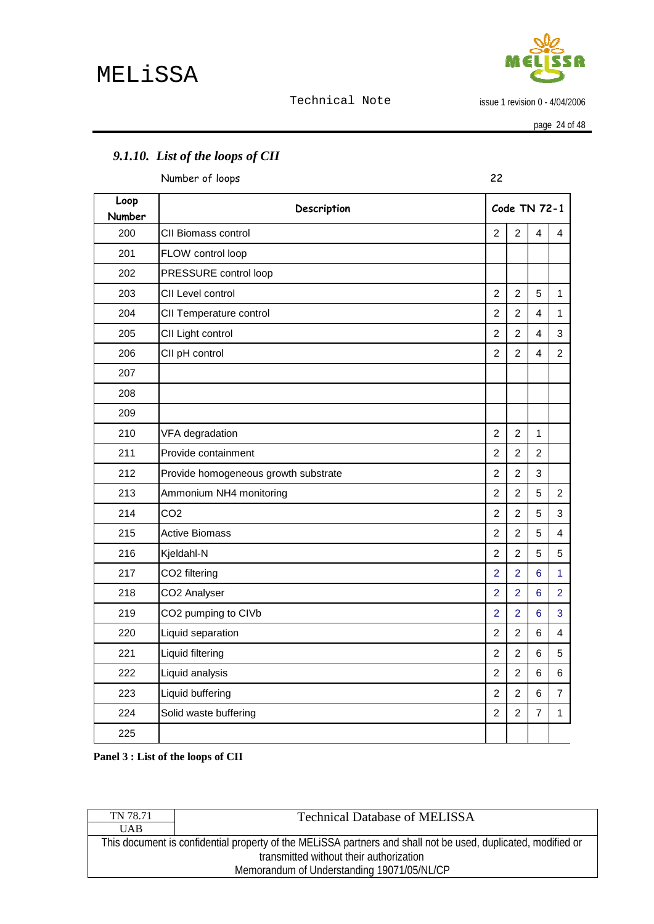

issue 1 revision 0 - 4/04/2006

page 24 of 48

|                | Number of loops                      | 22             |                |                |                           |
|----------------|--------------------------------------|----------------|----------------|----------------|---------------------------|
| Loop<br>Number | Description                          |                |                | Code TN 72-1   |                           |
| 200            | CII Biomass control                  | $\overline{2}$ | $\overline{2}$ | 4              | 4                         |
| 201            | FLOW control loop                    |                |                |                |                           |
| 202            | PRESSURE control loop                |                |                |                |                           |
| 203            | CII Level control                    | 2              | $\overline{2}$ | 5              | $\mathbf{1}$              |
| 204            | CII Temperature control              | $\overline{2}$ | $\overline{2}$ | 4              | $\mathbf{1}$              |
| 205            | CII Light control                    | $\overline{2}$ | $\overline{2}$ | 4              | $\ensuremath{\mathsf{3}}$ |
| 206            | CII pH control                       | $\overline{2}$ | $\overline{2}$ | 4              | $\overline{c}$            |
| 207            |                                      |                |                |                |                           |
| 208            |                                      |                |                |                |                           |
| 209            |                                      |                |                |                |                           |
| 210            | VFA degradation                      | $\overline{2}$ | $\overline{2}$ | $\mathbf{1}$   |                           |
| 211            | Provide containment                  | $\overline{c}$ | $\overline{c}$ | $\overline{c}$ |                           |
| 212            | Provide homogeneous growth substrate | $\overline{2}$ | $\overline{2}$ | 3              |                           |
| 213            | Ammonium NH4 monitoring              | $\overline{2}$ | $\overline{2}$ | 5              | $\boldsymbol{2}$          |
| 214            | CO <sub>2</sub>                      | $\overline{2}$ | $\overline{2}$ | 5              | 3                         |
| 215            | <b>Active Biomass</b>                | $\overline{2}$ | $\overline{2}$ | 5              | $\overline{\mathbf{4}}$   |
| 216            | Kjeldahl-N                           | $\overline{2}$ | $\overline{2}$ | 5              | 5                         |
| 217            | CO2 filtering                        | $\overline{2}$ | $\overline{2}$ | 6              | $\mathbf{1}$              |
| 218            | CO2 Analyser                         | $\overline{2}$ | $\overline{2}$ | 6              | $\overline{2}$            |
| 219            | CO2 pumping to CIVb                  | $\overline{2}$ | $\overline{2}$ | $6\phantom{1}$ | 3                         |
| 220            | Liquid separation                    | $\overline{2}$ | $\overline{2}$ | 6              | 4                         |
| 221            | Liquid filtering                     | $\overline{2}$ | $\overline{2}$ | 6              | 5                         |
| 222            | Liquid analysis                      | $\overline{2}$ | $\overline{2}$ | 6              | 6                         |
| 223            | Liquid buffering                     | $\overline{2}$ | $\overline{2}$ | 6              | $\overline{7}$            |
| 224            | Solid waste buffering                | $\overline{2}$ | $\overline{2}$ | 7              | $\mathbf{1}$              |
| 225            |                                      |                |                |                |                           |
|                |                                      |                |                |                |                           |

# <span id="page-23-0"></span>*9.1.10. List of the loops of CII*

**Panel 3 : List of the loops of CII** 

| TN 78.71                                   | <b>Technical Database of MELISSA</b>                                                                          |  |  |
|--------------------------------------------|---------------------------------------------------------------------------------------------------------------|--|--|
| <b>UAB</b>                                 |                                                                                                               |  |  |
|                                            | This document is confidential property of the MELISSA partners and shall not be used, duplicated, modified or |  |  |
|                                            | transmitted without their authorization                                                                       |  |  |
| Memorandum of Understanding 19071/05/NL/CP |                                                                                                               |  |  |
|                                            |                                                                                                               |  |  |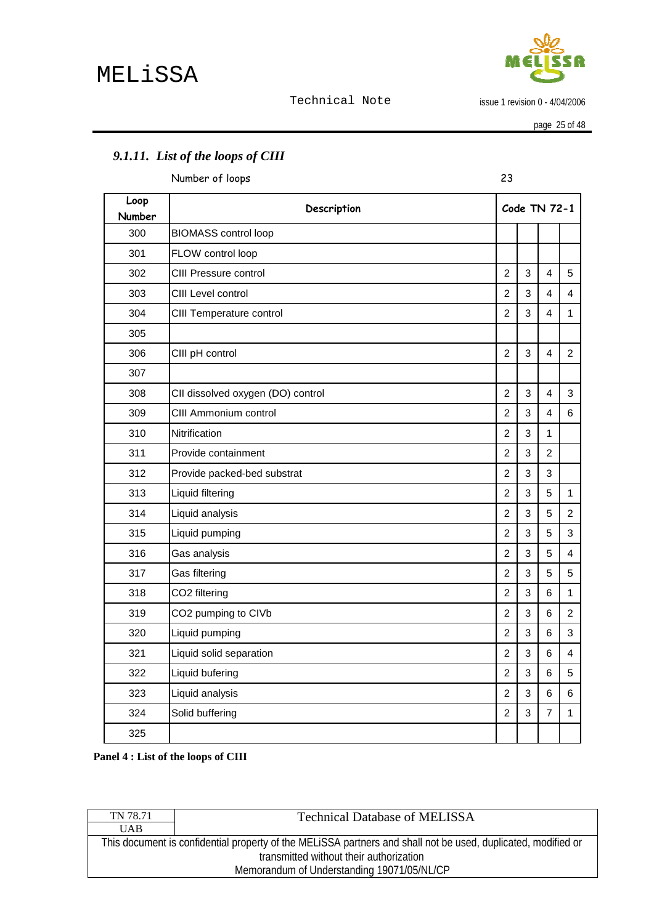

issue 1 revision 0 - 4/04/2006

page 25 of 48

# <span id="page-24-0"></span>*9.1.11. List of the loops of CIII*

Number of loops 23

| Loop<br>Number | Description                       |                | Code TN 72-1 |                         |                |
|----------------|-----------------------------------|----------------|--------------|-------------------------|----------------|
| 300            | <b>BIOMASS control loop</b>       |                |              |                         |                |
| 301            | FLOW control loop                 |                |              |                         |                |
| 302            | CIII Pressure control             | $\overline{2}$ | 3            | $\overline{4}$          | 5              |
| 303            | CIII Level control                | $\overline{2}$ | 3            | 4                       | $\overline{4}$ |
| 304            | CIII Temperature control          | $\overline{2}$ | 3            | $\overline{\mathbf{4}}$ | $\mathbf{1}$   |
| 305            |                                   |                |              |                         |                |
| 306            | CIII pH control                   | $\overline{2}$ | 3            | 4                       | $\overline{2}$ |
| 307            |                                   |                |              |                         |                |
| 308            | CII dissolved oxygen (DO) control | $\overline{2}$ | 3            | 4                       | 3              |
| 309            | CIII Ammonium control             | $\overline{c}$ | 3            | 4                       | 6              |
| 310            | Nitrification                     | $\overline{2}$ | 3            | 1                       |                |
| 311            | Provide containment               | $\overline{2}$ | 3            | $\overline{2}$          |                |
| 312            | Provide packed-bed substrat       | $\overline{2}$ | 3            | 3                       |                |
| 313            | Liquid filtering                  | $\overline{c}$ | 3            | 5                       | $\mathbf{1}$   |
| 314            | Liquid analysis                   | $\overline{2}$ | 3            | 5                       | $\overline{2}$ |
| 315            | Liquid pumping                    | $\overline{c}$ | 3            | 5                       | 3              |
| 316            | Gas analysis                      | $\overline{c}$ | 3            | 5                       | 4              |
| 317            | Gas filtering                     | $\overline{2}$ | 3            | 5                       | 5              |
| 318            | CO2 filtering                     | $\overline{2}$ | 3            | 6                       | $\mathbf{1}$   |
| 319            | CO2 pumping to CIVb               | $\overline{c}$ | 3            | 6                       | $\overline{2}$ |
| 320            | Liquid pumping                    | $\overline{c}$ | 3            | 6                       | 3              |
| 321            | Liquid solid separation           | $\overline{2}$ | 3            | 6                       | 4              |
| 322            | Liquid bufering                   | $\overline{2}$ | 3            | 6                       | 5              |
| 323            | Liquid analysis                   | $\overline{c}$ | 3            | 6                       | 6              |
| 324            | Solid buffering                   | $\overline{c}$ | 3            | $\overline{7}$          | 1              |
| 325            |                                   |                |              |                         |                |

**Panel 4 : List of the loops of CIII** 

| TN 78.71                                   | <b>Technical Database of MELISSA</b>                                                                          |  |  |
|--------------------------------------------|---------------------------------------------------------------------------------------------------------------|--|--|
| <b>UAB</b>                                 |                                                                                                               |  |  |
|                                            | This document is confidential property of the MELISSA partners and shall not be used, duplicated, modified or |  |  |
|                                            | transmitted without their authorization                                                                       |  |  |
| Memorandum of Understanding 19071/05/NL/CP |                                                                                                               |  |  |
|                                            |                                                                                                               |  |  |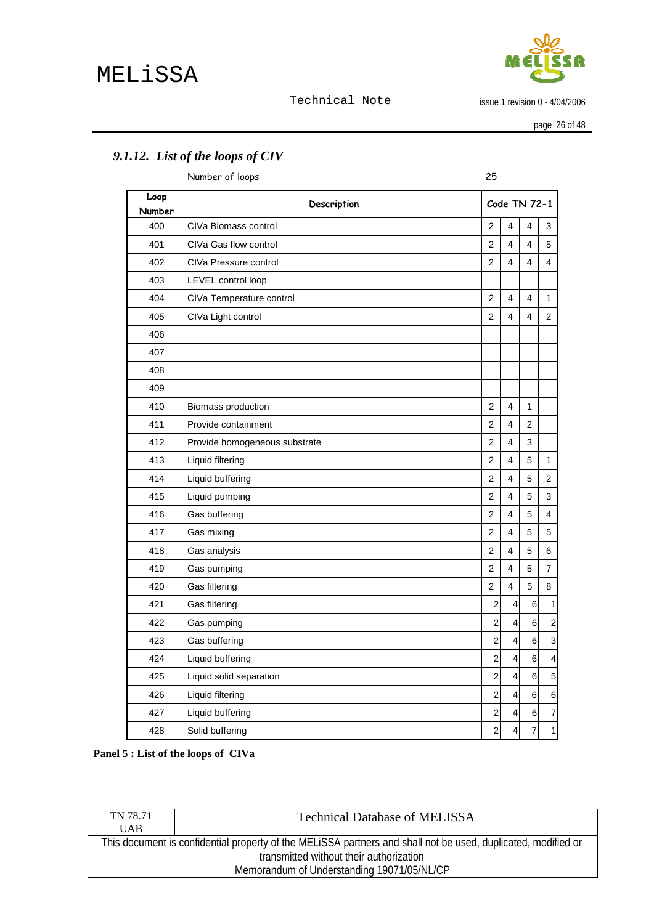

issue 1 revision 0 - 4/04/2006

page 26 of 48

|                | Number of loops               | 25             |                         |                 |                  |
|----------------|-------------------------------|----------------|-------------------------|-----------------|------------------|
| Loop<br>Number | Description                   |                |                         | Code TN 72-1    |                  |
| 400            | CIVa Biomass control          | $\overline{c}$ | $\overline{4}$          | 4               | 3                |
| 401            | CIVa Gas flow control         | $\overline{c}$ | $\overline{4}$          | $\overline{4}$  | 5                |
| 402            | CIVa Pressure control         | $\overline{2}$ | $\overline{\mathbf{4}}$ | 4               | 4                |
| 403            | LEVEL control loop            |                |                         |                 |                  |
| 404            | CIVa Temperature control      | $\overline{2}$ | $\overline{4}$          | $\overline{4}$  | 1                |
| 405            | CIVa Light control            | $\overline{c}$ | $\overline{\mathbf{4}}$ | 4               | $\overline{2}$   |
| 406            |                               |                |                         |                 |                  |
| 407            |                               |                |                         |                 |                  |
| 408            |                               |                |                         |                 |                  |
| 409            |                               |                |                         |                 |                  |
| 410            | Biomass production            | $\overline{c}$ | 4                       | $\mathbf{1}$    |                  |
| 411            | Provide containment           | 2              | $\overline{\mathbf{4}}$ | $\overline{2}$  |                  |
| 412            | Provide homogeneous substrate | $\overline{2}$ | $\overline{\mathbf{4}}$ | 3               |                  |
| 413            | Liquid filtering              | $\overline{2}$ | $\overline{4}$          | 5               | $\mathbf{1}$     |
| 414            | Liquid buffering              | $\overline{c}$ | 4                       | 5               | $\overline{2}$   |
| 415            | Liquid pumping                | $\overline{c}$ | $\overline{4}$          | 5               | 3                |
| 416            | Gas buffering                 | $\overline{c}$ | $\overline{\mathbf{4}}$ | 5               | 4                |
| 417            | Gas mixing                    | $\overline{2}$ | 4                       | 5               | 5                |
| 418            | Gas analysis                  | $\overline{2}$ | 4                       | 5               | 6                |
| 419            | Gas pumping                   | $\overline{c}$ | $\overline{4}$          | 5               | 7                |
| 420            | Gas filtering                 | $\overline{c}$ | $\overline{4}$          | 5               | 8                |
| 421            | Gas filtering                 | 2              | 4                       | 6               | 1                |
| 422            | Gas pumping                   | $\overline{2}$ | 4                       | 6               | $\boldsymbol{2}$ |
| 423            | Gas buffering                 | $\overline{2}$ | 4                       | 6               | 3                |
| 424            | Liquid buffering              | $\overline{c}$ | 4                       | 6               | 4                |
| 425            | Liquid solid separation       | $\overline{c}$ | 4                       | 6               | 5                |
| 426            | Liquid filtering              | $\overline{c}$ | 4                       | $6\overline{6}$ | $\,6$            |
| 427            | Liquid buffering              | $\overline{a}$ | 4                       | 6               | $\overline{7}$   |
| 428            | Solid buffering               | $\overline{c}$ | 4                       | $\overline{7}$  | 1                |

# <span id="page-25-0"></span>*9.1.12. List of the loops of CIV*

**Panel 5 : List of the loops of CIVa** 

| TN 78.71                                   | <b>Technical Database of MELISSA</b>                                                                                                                     |  |  |
|--------------------------------------------|----------------------------------------------------------------------------------------------------------------------------------------------------------|--|--|
| <b>UAB</b>                                 |                                                                                                                                                          |  |  |
|                                            | This document is confidential property of the MELISSA partners and shall not be used, duplicated, modified or<br>transmitted without their authorization |  |  |
|                                            |                                                                                                                                                          |  |  |
| Memorandum of Understanding 19071/05/NL/CP |                                                                                                                                                          |  |  |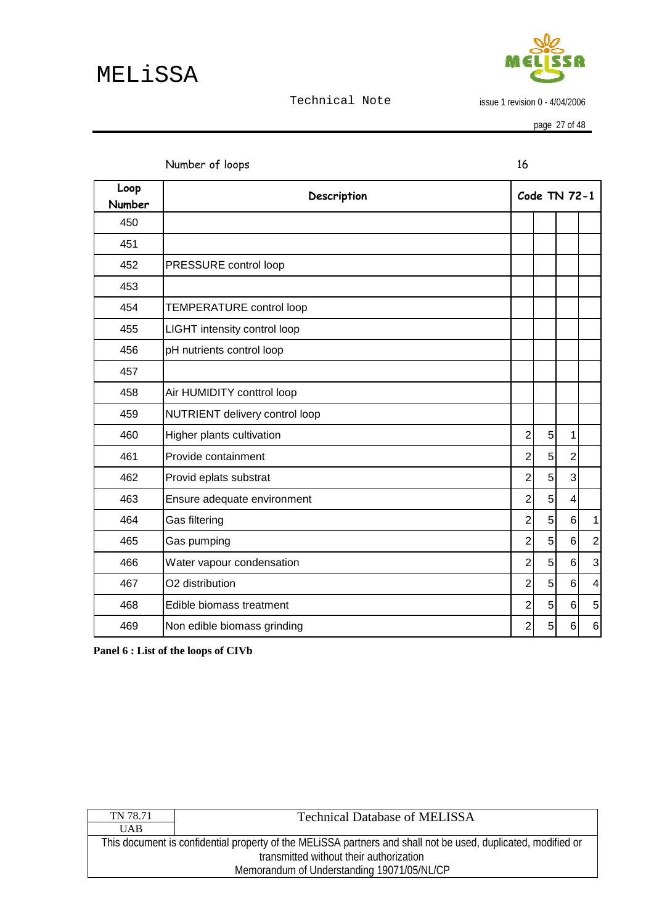

issue 1 revision 0 - 4/04/2006

page 27 of 48

<span id="page-26-0"></span>

|                | Number of loops                 | 16             |                 |                |                         |
|----------------|---------------------------------|----------------|-----------------|----------------|-------------------------|
| Loop<br>Number | Description                     |                |                 | Code TN 72-1   |                         |
| 450            |                                 |                |                 |                |                         |
| 451            |                                 |                |                 |                |                         |
| 452            | PRESSURE control loop           |                |                 |                |                         |
| 453            |                                 |                |                 |                |                         |
| 454            | <b>TEMPERATURE</b> control loop |                |                 |                |                         |
| 455            | LIGHT intensity control loop    |                |                 |                |                         |
| 456            | pH nutrients control loop       |                |                 |                |                         |
| 457            |                                 |                |                 |                |                         |
| 458            | Air HUMIDITY conttrol loop      |                |                 |                |                         |
| 459            | NUTRIENT delivery control loop  |                |                 |                |                         |
| 460            | Higher plants cultivation       | $\overline{2}$ | 5 <sup>1</sup>  | 1              |                         |
| 461            | Provide containment             | $\overline{2}$ | 5               | $\overline{2}$ |                         |
| 462            | Provid eplats substrat          | $\overline{2}$ | 5 <sup>1</sup>  | 3              |                         |
| 463            | Ensure adequate environment     | $\overline{2}$ | 5 <sup>1</sup>  | $\overline{4}$ |                         |
| 464            | Gas filtering                   | $\overline{2}$ | 5 <sup>1</sup>  | 6              | 1                       |
| 465            | Gas pumping                     | $\overline{2}$ | 5 <sup>1</sup>  | 6              | $\overline{2}$          |
| 466            | Water vapour condensation       | $\overline{2}$ | 5 <sup>1</sup>  | 6              | 3                       |
| 467            | O2 distribution                 | $\overline{2}$ | 5               | 6              | $\overline{\mathbf{4}}$ |
| 468            | Edible biomass treatment        | $\overline{2}$ | $5\overline{)}$ | $6\phantom{1}$ | 5                       |
| 469            | Non edible biomass grinding     | $\overline{2}$ | 5 <sup>1</sup>  | $6\phantom{1}$ | 6                       |

**Panel 6 : List of the loops of CIVb** 

| TN 78.71                                                                                                      | <b>Technical Database of MELISSA</b> |  |  |
|---------------------------------------------------------------------------------------------------------------|--------------------------------------|--|--|
| <b>UAB</b>                                                                                                    |                                      |  |  |
| This document is confidential property of the MELISSA partners and shall not be used, duplicated, modified or |                                      |  |  |
| transmitted without their authorization                                                                       |                                      |  |  |
| Memorandum of Understanding 19071/05/NL/CP                                                                    |                                      |  |  |
|                                                                                                               |                                      |  |  |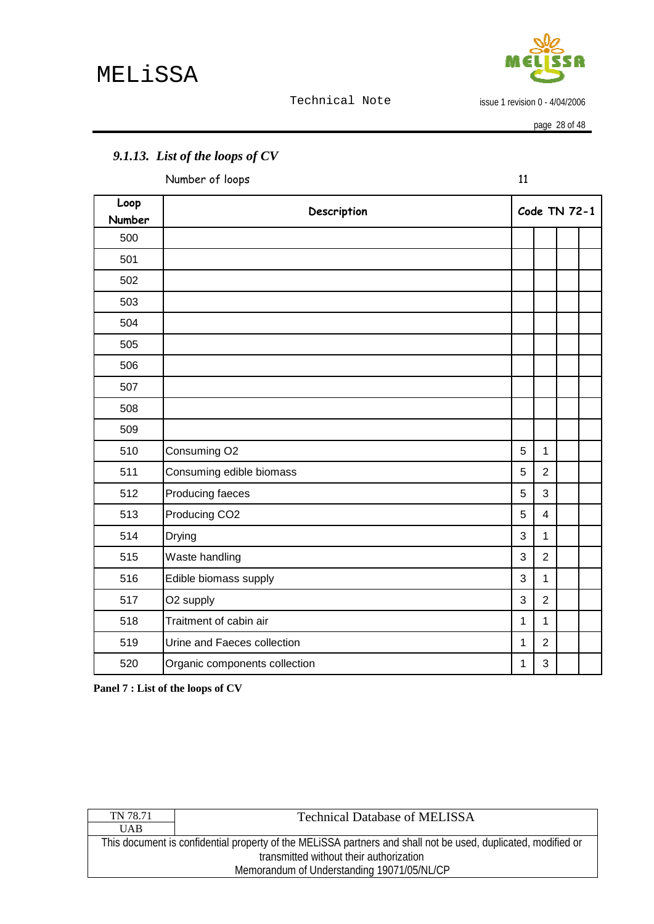

issue 1 revision 0 - 4/04/2006

|                | Number of loops               | 11           |                |              |  |
|----------------|-------------------------------|--------------|----------------|--------------|--|
| Loop<br>Number | Description                   |              |                | Code TN 72-1 |  |
| 500            |                               |              |                |              |  |
| 501            |                               |              |                |              |  |
| 502            |                               |              |                |              |  |
| 503            |                               |              |                |              |  |
| 504            |                               |              |                |              |  |
| 505            |                               |              |                |              |  |
| 506            |                               |              |                |              |  |
| 507            |                               |              |                |              |  |
| 508            |                               |              |                |              |  |
| 509            |                               |              |                |              |  |
| 510            | Consuming O2                  | 5            | $\mathbf{1}$   |              |  |
| 511            | Consuming edible biomass      | 5            | $\overline{2}$ |              |  |
| 512            | Producing faeces              | 5            | 3              |              |  |
| 513            | Producing CO <sub>2</sub>     | 5            | $\overline{4}$ |              |  |
| 514            | Drying                        | 3            | $\mathbf{1}$   |              |  |
| 515            | Waste handling                | 3            | $\overline{2}$ |              |  |
| 516            | Edible biomass supply         | 3            | $\mathbf{1}$   |              |  |
| 517            | O2 supply                     | 3            | $\overline{2}$ |              |  |
| 518            | Traitment of cabin air        | $\mathbf{1}$ | $\mathbf{1}$   |              |  |
| 519            | Urine and Faeces collection   | $\mathbf{1}$ | $\overline{2}$ |              |  |
| 520            | Organic components collection | $\mathbf{1}$ | 3              |              |  |

# <span id="page-27-0"></span>*9.1.13. List of the loops of CV*

**Panel 7 : List of the loops of CV** 

| This document is confidential property of the MELISSA partners and shall not be used, duplicated, modified or |  |  |
|---------------------------------------------------------------------------------------------------------------|--|--|
| transmitted without their authorization                                                                       |  |  |
| Memorandum of Understanding 19071/05/NL/CP                                                                    |  |  |
|                                                                                                               |  |  |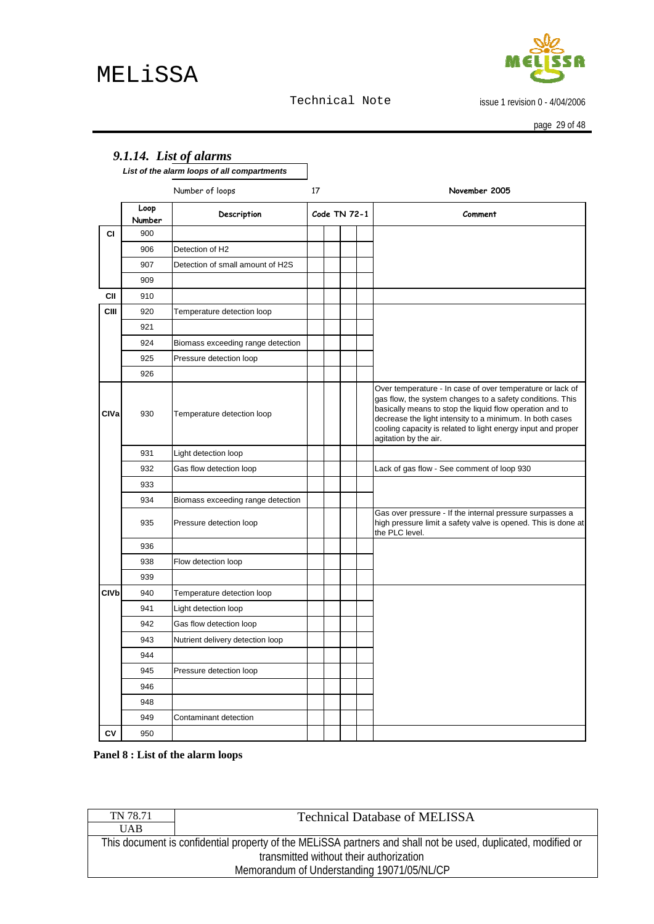issue 1 revision 0 - 4/04/2006

page 29 of 48

<span id="page-28-0"></span>

|                        |                | List of the alarm loops of all compartments |    |              |  |                                                                                                                                                                                                                                                                                                                                         |
|------------------------|----------------|---------------------------------------------|----|--------------|--|-----------------------------------------------------------------------------------------------------------------------------------------------------------------------------------------------------------------------------------------------------------------------------------------------------------------------------------------|
|                        |                | Number of loops                             | 17 |              |  | November 2005                                                                                                                                                                                                                                                                                                                           |
|                        | Loop<br>Number | Description                                 |    | Code TN 72-1 |  | Comment                                                                                                                                                                                                                                                                                                                                 |
| СI                     | 900            |                                             |    |              |  |                                                                                                                                                                                                                                                                                                                                         |
|                        | 906            | Detection of H2                             |    |              |  |                                                                                                                                                                                                                                                                                                                                         |
|                        | 907            | Detection of small amount of H2S            |    |              |  |                                                                                                                                                                                                                                                                                                                                         |
|                        | 909            |                                             |    |              |  |                                                                                                                                                                                                                                                                                                                                         |
| CII                    | 910            |                                             |    |              |  |                                                                                                                                                                                                                                                                                                                                         |
| <b>CIII</b>            | 920            | Temperature detection loop                  |    |              |  |                                                                                                                                                                                                                                                                                                                                         |
|                        | 921            |                                             |    |              |  |                                                                                                                                                                                                                                                                                                                                         |
|                        | 924            | Biomass exceeding range detection           |    |              |  |                                                                                                                                                                                                                                                                                                                                         |
|                        | 925            | Pressure detection loop                     |    |              |  |                                                                                                                                                                                                                                                                                                                                         |
|                        | 926            |                                             |    |              |  |                                                                                                                                                                                                                                                                                                                                         |
| CIVa                   | 930            | Temperature detection loop                  |    |              |  | Over temperature - In case of over temperature or lack of<br>gas flow, the system changes to a safety conditions. This<br>basically means to stop the liquid flow operation and to<br>decrease the light intensity to a minimum. In both cases<br>cooling capacity is related to light energy input and proper<br>agitation by the air. |
|                        | 931            | Light detection loop                        |    |              |  |                                                                                                                                                                                                                                                                                                                                         |
|                        | 932            | Gas flow detection loop                     |    |              |  | Lack of gas flow - See comment of loop 930                                                                                                                                                                                                                                                                                              |
|                        | 933            |                                             |    |              |  |                                                                                                                                                                                                                                                                                                                                         |
|                        | 934            | Biomass exceeding range detection           |    |              |  |                                                                                                                                                                                                                                                                                                                                         |
|                        | 935            | Pressure detection loop                     |    |              |  | Gas over pressure - If the internal pressure surpasses a<br>high pressure limit a safety valve is opened. This is done at<br>the PLC level.                                                                                                                                                                                             |
|                        | 936            |                                             |    |              |  |                                                                                                                                                                                                                                                                                                                                         |
|                        | 938            | Flow detection loop                         |    |              |  |                                                                                                                                                                                                                                                                                                                                         |
|                        | 939            |                                             |    |              |  |                                                                                                                                                                                                                                                                                                                                         |
| <b>CIV<sub>b</sub></b> | 940            | Temperature detection loop                  |    |              |  |                                                                                                                                                                                                                                                                                                                                         |
|                        | 941            | Light detection loop                        |    |              |  |                                                                                                                                                                                                                                                                                                                                         |
|                        | 942            | Gas flow detection loop                     |    |              |  |                                                                                                                                                                                                                                                                                                                                         |
|                        | 943            | Nutrient delivery detection loop            |    |              |  |                                                                                                                                                                                                                                                                                                                                         |
|                        | 944            |                                             |    |              |  |                                                                                                                                                                                                                                                                                                                                         |
|                        | 945            | Pressure detection loop                     |    |              |  |                                                                                                                                                                                                                                                                                                                                         |
|                        | 946            |                                             |    |              |  |                                                                                                                                                                                                                                                                                                                                         |
|                        | 948            |                                             |    |              |  |                                                                                                                                                                                                                                                                                                                                         |
|                        | 949            | Contaminant detection                       |    |              |  |                                                                                                                                                                                                                                                                                                                                         |
| CV                     | 950            |                                             |    |              |  |                                                                                                                                                                                                                                                                                                                                         |

**Panel 8 : List of the alarm loops** 

| TN 78.71                                                                                                      | <b>Technical Database of MELISSA</b> |  |  |
|---------------------------------------------------------------------------------------------------------------|--------------------------------------|--|--|
| <b>UAB</b>                                                                                                    |                                      |  |  |
| This document is confidential property of the MELISSA partners and shall not be used, duplicated, modified or |                                      |  |  |
| transmitted without their authorization                                                                       |                                      |  |  |
| Memorandum of Understanding 19071/05/NL/CP                                                                    |                                      |  |  |
|                                                                                                               |                                      |  |  |

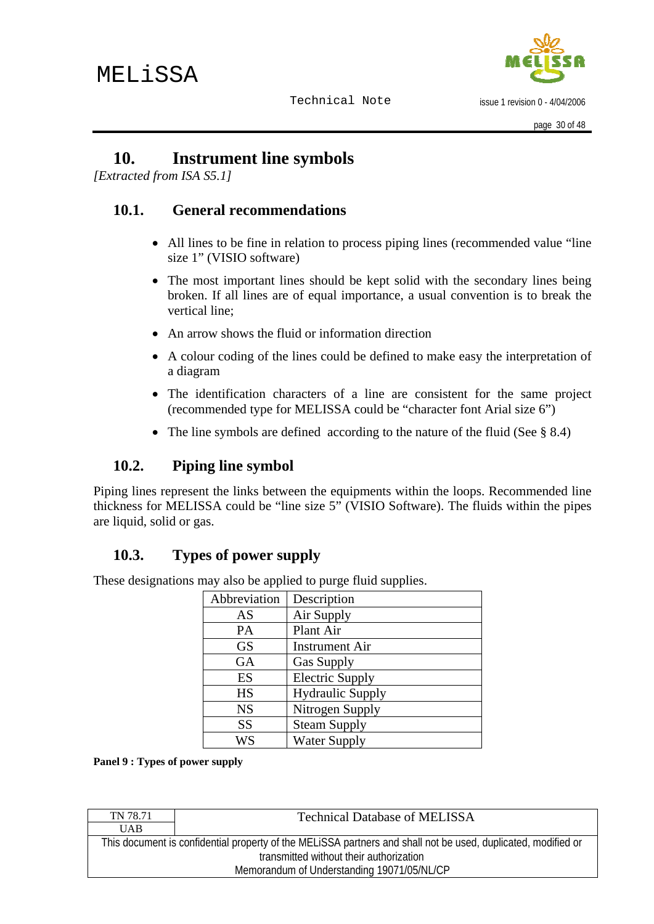

issue 1 revision 0 - 4/04/2006

# <span id="page-29-0"></span>**10. Instrument line symbols**

*[Extracted from ISA S5.1]* 

## **10.1. General recommendations**

- All lines to be fine in relation to process piping lines (recommended value "line" size 1" (VISIO software)
- The most important lines should be kept solid with the secondary lines being broken. If all lines are of equal importance, a usual convention is to break the vertical line;
- An arrow shows the fluid or information direction
- A colour coding of the lines could be defined to make easy the interpretation of a diagram
- The identification characters of a line are consistent for the same project (recommended type for MELISSA could be "character font Arial size 6")
- The line symbols are defined according to the nature of the fluid (See § 8.4)

# **10.2. Piping line symbol**

Piping lines represent the links between the equipments within the loops. Recommended line thickness for MELISSA could be "line size 5" (VISIO Software). The fluids within the pipes are liquid, solid or gas.

# **10.3. Types of power supply**

These designations may also be applied to purge fluid supplies.

| Abbreviation | Description             |
|--------------|-------------------------|
| AS           | Air Supply              |
| PA           | Plant Air               |
| <b>GS</b>    | <b>Instrument Air</b>   |
| <b>GA</b>    | <b>Gas Supply</b>       |
| ES           | <b>Electric Supply</b>  |
| <b>HS</b>    | <b>Hydraulic Supply</b> |
| <b>NS</b>    | Nitrogen Supply         |
| SS           | <b>Steam Supply</b>     |
| WS           | <b>Water Supply</b>     |

**Panel 9 : Types of power supply** 

| <b>UAB</b>                                                                                                    |  |  |
|---------------------------------------------------------------------------------------------------------------|--|--|
|                                                                                                               |  |  |
| This document is confidential property of the MELISSA partners and shall not be used, duplicated, modified or |  |  |
| transmitted without their authorization                                                                       |  |  |
| Memorandum of Understanding 19071/05/NL/CP                                                                    |  |  |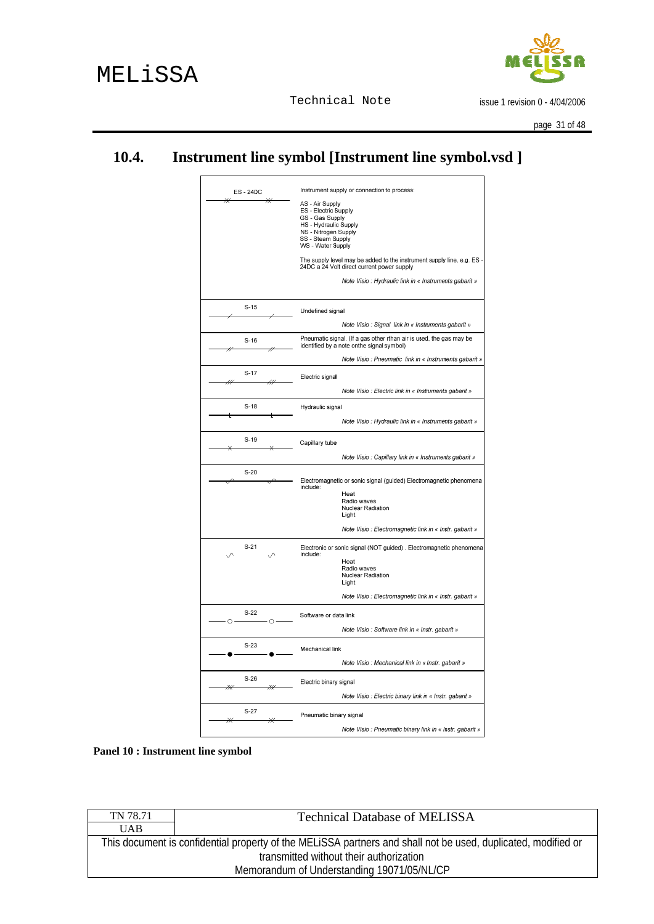

issue 1 revision 0 - 4/04/2006

page 31 of 48

# <span id="page-30-0"></span>**10.4. Instrument line symbol [Instrument line symbol.vsd ]**

| ES-24DC<br>⋇     | Instrument supply or connection to process:<br>AS - Air Supply<br>ES - Electric Supply<br>GS - Gas Supply<br><b>HS</b> - Hydraulic Supply<br>NS - Nitrogen Supply<br>SS - Steam Supply<br>WS - Water Supply<br>The supply level may be added to the instrument supply line, e.g. ES<br>24DC a 24 Volt direct current power supply<br>Note Visio: Hydraulic link in « Instruments gabarit » |
|------------------|--------------------------------------------------------------------------------------------------------------------------------------------------------------------------------------------------------------------------------------------------------------------------------------------------------------------------------------------------------------------------------------------|
| $S-15$           | Undefined signal                                                                                                                                                                                                                                                                                                                                                                           |
|                  | Note Visio : Signal link in « Instruments gabarit »                                                                                                                                                                                                                                                                                                                                        |
| $S-16$           | Pneumatic signal. (If a gas other rthan air is used, the gas may be                                                                                                                                                                                                                                                                                                                        |
|                  | identified by a note onthe signal symbol)<br>Note Visio : Pneumatic link in « Instruments gabarit »                                                                                                                                                                                                                                                                                        |
| $S-17$           | Electric signal                                                                                                                                                                                                                                                                                                                                                                            |
| 44               | Note Visio: Electric link in « Instruments gabarit »                                                                                                                                                                                                                                                                                                                                       |
| $S-18$           | Hydraulic signal                                                                                                                                                                                                                                                                                                                                                                           |
|                  | Note Visio : Hydraulic link in « Instruments gabarit »                                                                                                                                                                                                                                                                                                                                     |
| $S-19$           | Capillary tube                                                                                                                                                                                                                                                                                                                                                                             |
|                  | Note Visio : Capillary link in « Instruments gabarit »                                                                                                                                                                                                                                                                                                                                     |
| $S-20$           | Electromagnetic or sonic signal (guided) Electromagnetic phenomena<br>include:<br>Heat<br>Radio waves<br>Nuclear Radiation<br>Light<br>Note Visio: Electromagnetic link in « Instr. gabarit »                                                                                                                                                                                              |
| $S-21$           | Electronic or sonic signal (NOT guided). Electromagnetic phenomena<br>include:<br>Heat<br>Radio waves<br><b>Nuclear Radiation</b><br>Light<br>Note Visio : Electromagnetic link in « Instr. gabarit »                                                                                                                                                                                      |
| $S-22$<br>$\cap$ | Software or data link                                                                                                                                                                                                                                                                                                                                                                      |
| $\circ$          | Note Visio : Software link in « Instr. gabarit »                                                                                                                                                                                                                                                                                                                                           |
| $S-23$           | Mechanical link                                                                                                                                                                                                                                                                                                                                                                            |
|                  | Note Visio: Mechanical link in « Instr. gabarit »                                                                                                                                                                                                                                                                                                                                          |
| $S-26$<br>₩      | Electric binary signal                                                                                                                                                                                                                                                                                                                                                                     |
|                  | Note Visio: Electric binary link in « Instr. gabarit »                                                                                                                                                                                                                                                                                                                                     |
| $S-27$           | Pneumatic binary signal                                                                                                                                                                                                                                                                                                                                                                    |
|                  | Note Visio : Pneumatic binary link in « Instr. gabarit »                                                                                                                                                                                                                                                                                                                                   |

**Panel 10 : Instrument line symbol** 

| <b>Technical Database of MELISSA</b>                                                                          |  |  |
|---------------------------------------------------------------------------------------------------------------|--|--|
|                                                                                                               |  |  |
| This document is confidential property of the MELISSA partners and shall not be used, duplicated, modified or |  |  |
| transmitted without their authorization                                                                       |  |  |
| Memorandum of Understanding 19071/05/NL/CP                                                                    |  |  |
|                                                                                                               |  |  |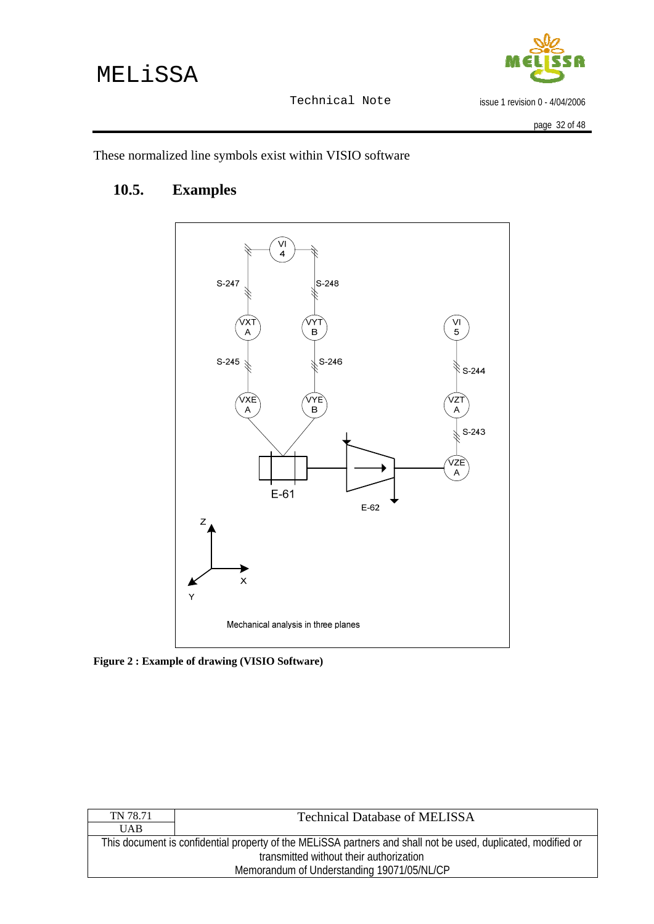# <span id="page-31-0"></span>MELiSSA



Technical Note

issue 1 revision 0 - 4/04/2006

These normalized line symbols exist within VISIO software

# **10.5. Examples**



**Figure 2 : Example of drawing (VISIO Software)** 

| TN 78.71                                                                                                      | <b>Technical Database of MELISSA</b> |  |
|---------------------------------------------------------------------------------------------------------------|--------------------------------------|--|
| <b>UAB</b>                                                                                                    |                                      |  |
| This document is confidential property of the MELISSA partners and shall not be used, duplicated, modified or |                                      |  |
| transmitted without their authorization                                                                       |                                      |  |
| Memorandum of Understanding 19071/05/NL/CP                                                                    |                                      |  |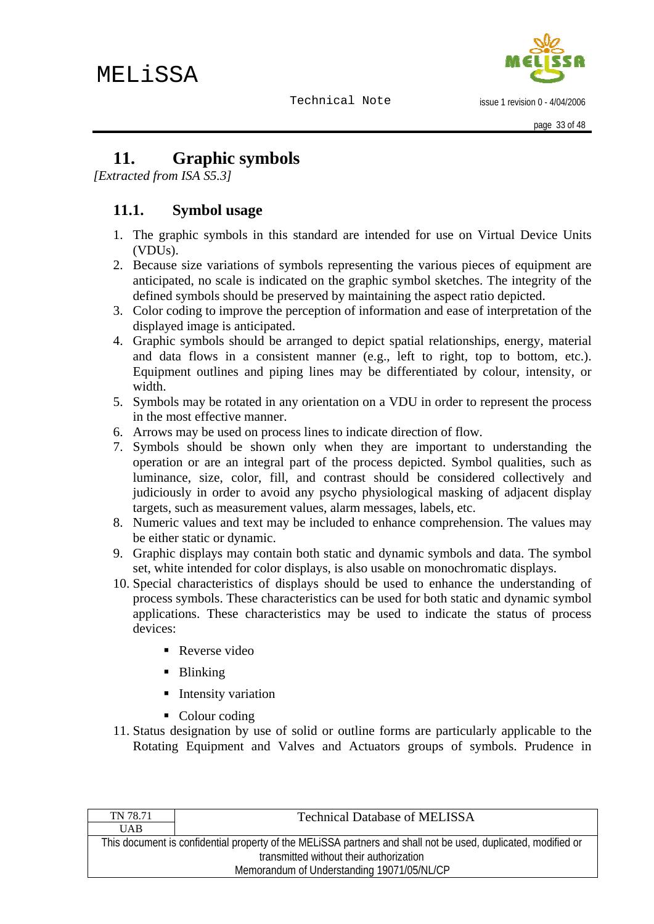

issue 1 revision 0 - 4/04/2006

# <span id="page-32-0"></span>**11. Graphic symbols**

*[Extracted from ISA S5.3]* 

## **11.1. Symbol usage**

- 1. The graphic symbols in this standard are intended for use on Virtual Device Units (VDUs).
- 2. Because size variations of symbols representing the various pieces of equipment are anticipated, no scale is indicated on the graphic symbol sketches. The integrity of the defined symbols should be preserved by maintaining the aspect ratio depicted.
- 3. Color coding to improve the perception of information and ease of interpretation of the displayed image is anticipated.
- 4. Graphic symbols should be arranged to depict spatial relationships, energy, material and data flows in a consistent manner (e.g., left to right, top to bottom, etc.). Equipment outlines and piping lines may be differentiated by colour, intensity, or width.
- 5. Symbols may be rotated in any orientation on a VDU in order to represent the process in the most effective manner.
- 6. Arrows may be used on process lines to indicate direction of flow.
- 7. Symbols should be shown only when they are important to understanding the operation or are an integral part of the process depicted. Symbol qualities, such as luminance, size, color, fill, and contrast should be considered collectively and judiciously in order to avoid any psycho physiological masking of adjacent display targets, such as measurement values, alarm messages, labels, etc.
- 8. Numeric values and text may be included to enhance comprehension. The values may be either static or dynamic.
- 9. Graphic displays may contain both static and dynamic symbols and data. The symbol set, white intended for color displays, is also usable on monochromatic displays.
- 10. Special characteristics of displays should be used to enhance the understanding of process symbols. These characteristics can be used for both static and dynamic symbol applications. These characteristics may be used to indicate the status of process devices:
	- Reverse video
	- **Blinking**
	- **Intensity variation**
	- Colour coding
- 11. Status designation by use of solid or outline forms are particularly applicable to the Rotating Equipment and Valves and Actuators groups of symbols. Prudence in

| TN 78.71                                                                                                      | <b>Technical Database of MELISSA</b> |  |  |
|---------------------------------------------------------------------------------------------------------------|--------------------------------------|--|--|
| <b>UAB</b>                                                                                                    |                                      |  |  |
| This document is confidential property of the MELISSA partners and shall not be used, duplicated, modified or |                                      |  |  |
| transmitted without their authorization                                                                       |                                      |  |  |
| Memorandum of Understanding 19071/05/NL/CP                                                                    |                                      |  |  |
|                                                                                                               |                                      |  |  |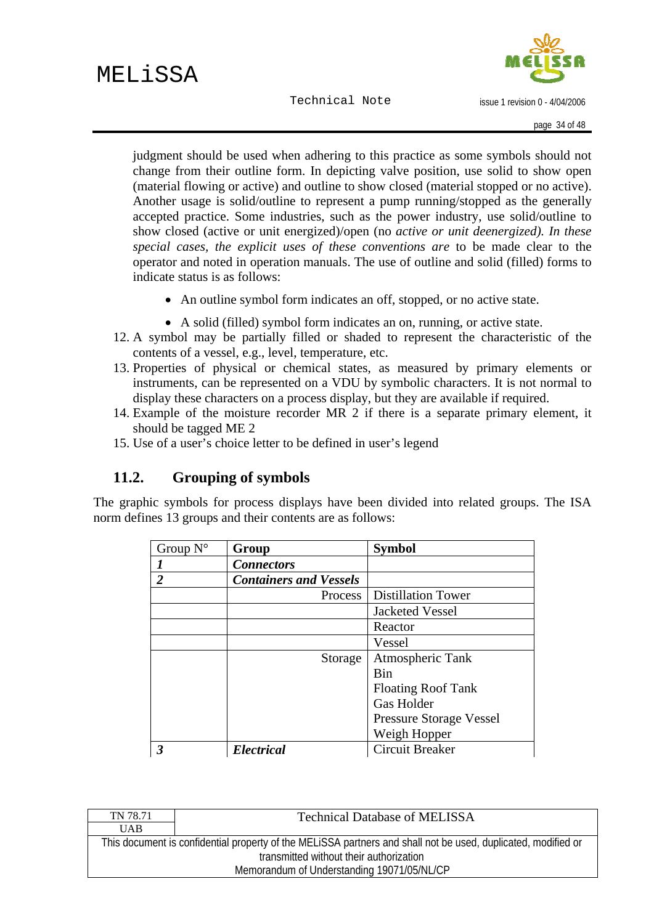issue 1 revision 0 - 4/04/2006

<span id="page-33-0"></span>judgment should be used when adhering to this practice as some symbols should not change from their outline form. In depicting valve position, use solid to show open (material flowing or active) and outline to show closed (material stopped or no active). Another usage is solid/outline to represent a pump running/stopped as the generally accepted practice. Some industries, such as the power industry, use solid/outline to show closed (active or unit energized)/open (no *active or unit deenergized). In these special cases, the explicit uses of these conventions are* to be made clear to the operator and noted in operation manuals. The use of outline and solid (filled) forms to indicate status is as follows:

- An outline symbol form indicates an off, stopped, or no active state.
- A solid (filled) symbol form indicates an on, running, or active state.
- 12. A symbol may be partially filled or shaded to represent the characteristic of the contents of a vessel, e.g., level, temperature, etc.
- 13. Properties of physical or chemical states, as measured by primary elements or instruments, can be represented on a VDU by symbolic characters. It is not normal to display these characters on a process display, but they are available if required.
- 14. Example of the moisture recorder MR 2 if there is a separate primary element, it should be tagged ME 2
- 15. Use of a user's choice letter to be defined in user's legend

# **11.2. Grouping of symbols**

The graphic symbols for process displays have been divided into related groups. The ISA norm defines 13 groups and their contents are as follows:

| Group $N^{\circ}$ | Group                         | <b>Symbol</b>                  |
|-------------------|-------------------------------|--------------------------------|
|                   | <b>Connectors</b>             |                                |
| $\overline{2}$    | <b>Containers and Vessels</b> |                                |
|                   | Process                       | <b>Distillation Tower</b>      |
|                   |                               | <b>Jacketed Vessel</b>         |
|                   |                               | Reactor                        |
|                   |                               | Vessel                         |
|                   | Storage                       | Atmospheric Tank               |
|                   |                               | Bin                            |
|                   |                               | <b>Floating Roof Tank</b>      |
|                   |                               | <b>Gas Holder</b>              |
|                   |                               | <b>Pressure Storage Vessel</b> |
|                   |                               | Weigh Hopper                   |
| 3                 | <b>Electrical</b>             | <b>Circuit Breaker</b>         |

| TN 78.71                                                                                                      | <b>Technical Database of MELISSA</b> |
|---------------------------------------------------------------------------------------------------------------|--------------------------------------|
| <b>UAB</b>                                                                                                    |                                      |
| This document is confidential property of the MELISSA partners and shall not be used, duplicated, modified or |                                      |
| transmitted without their authorization                                                                       |                                      |
| Memorandum of Understanding 19071/05/NL/CP                                                                    |                                      |
|                                                                                                               |                                      |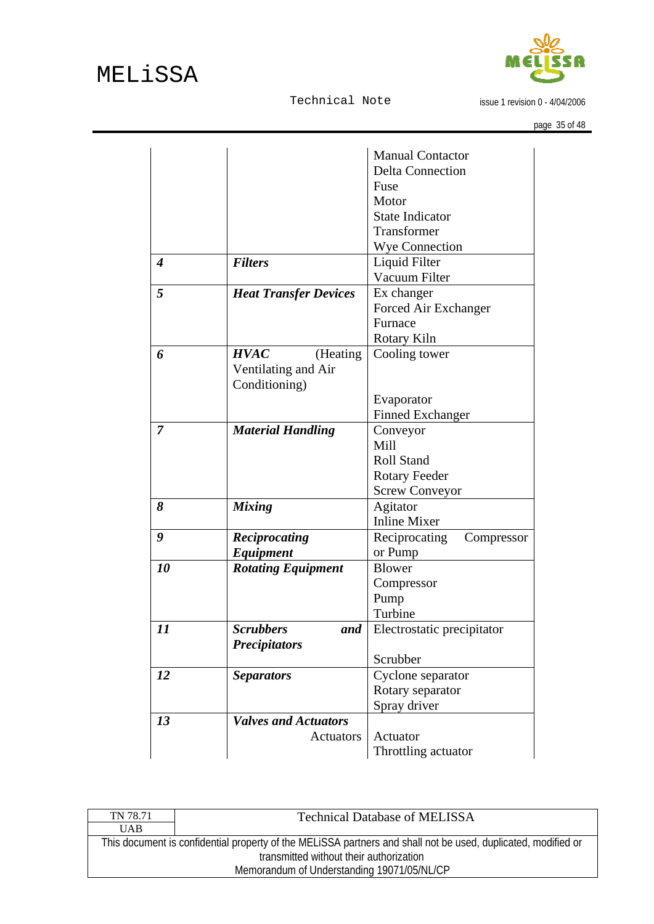issue 1 revision 0 - 4/04/2006

|                  |                              | <b>Manual Contactor</b>     |
|------------------|------------------------------|-----------------------------|
|                  |                              | <b>Delta Connection</b>     |
|                  |                              | Fuse                        |
|                  |                              | Motor                       |
|                  |                              | <b>State Indicator</b>      |
|                  |                              | Transformer                 |
|                  |                              | <b>Wye Connection</b>       |
| $\boldsymbol{4}$ | <b>Filters</b>               | Liquid Filter               |
|                  |                              | Vacuum Filter               |
| 5                | <b>Heat Transfer Devices</b> | Ex changer                  |
|                  |                              | Forced Air Exchanger        |
|                  |                              | Furnace                     |
|                  |                              | <b>Rotary Kiln</b>          |
| 6                | <b>HVAC</b><br>(Heating)     | Cooling tower               |
|                  | Ventilating and Air          |                             |
|                  | Conditioning)                |                             |
|                  |                              | Evaporator                  |
|                  |                              | <b>Finned Exchanger</b>     |
| 7                | <b>Material Handling</b>     | Conveyor                    |
|                  |                              | Mill                        |
|                  |                              | <b>Roll Stand</b>           |
|                  |                              | <b>Rotary Feeder</b>        |
|                  |                              | <b>Screw Conveyor</b>       |
| 8                | <b>Mixing</b>                | Agitator                    |
|                  |                              | <b>Inline Mixer</b>         |
| 9                | Reciprocating                | Reciprocating<br>Compressor |
|                  | <b>Equipment</b>             | or Pump                     |
| 10               | <b>Rotating Equipment</b>    | <b>Blower</b>               |
|                  |                              | Compressor                  |
|                  |                              | Pump                        |
|                  |                              | Turbine                     |
| 11               | Scrubbers<br>and             | Electrostatic precipitator  |
|                  | <b>Precipitators</b>         |                             |
|                  |                              | Scrubber                    |
| 12               | <b>Separators</b>            | Cyclone separator           |
|                  |                              | Rotary separator            |
|                  |                              | Spray driver                |
|                  | <b>Valves and Actuators</b>  |                             |
| 13               |                              | Actuator                    |
|                  | Actuators                    |                             |
|                  |                              | Throttling actuator         |

| TN 78.71                                   | <b>Technical Database of MELISSA</b>                                                                          |
|--------------------------------------------|---------------------------------------------------------------------------------------------------------------|
| <b>UAB</b>                                 |                                                                                                               |
|                                            | This document is confidential property of the MELISSA partners and shall not be used, duplicated, modified or |
| transmitted without their authorization    |                                                                                                               |
| Memorandum of Understanding 19071/05/NL/CP |                                                                                                               |
|                                            |                                                                                                               |

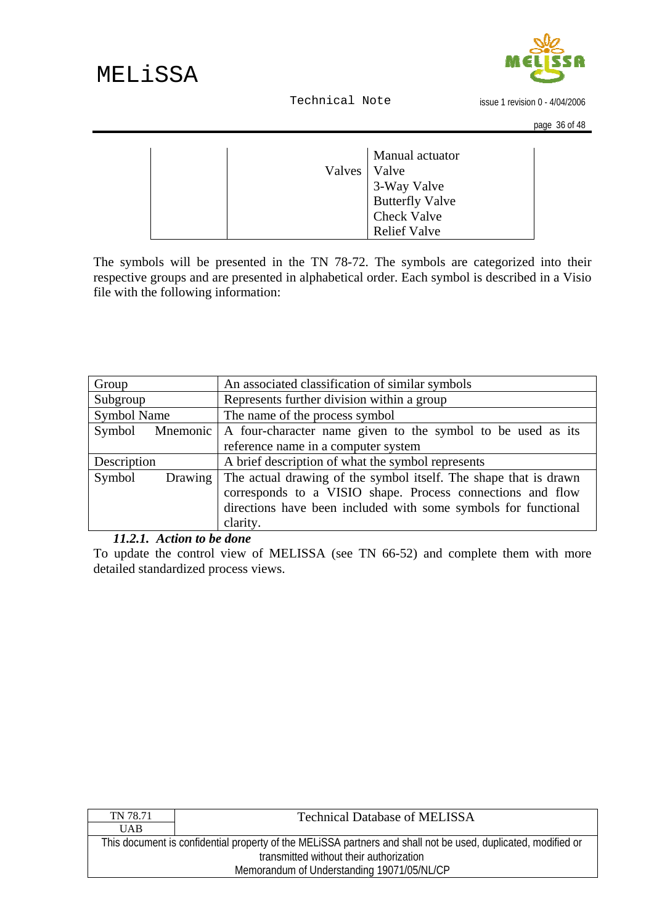

issue 1 revision 0 - 4/04/2006

<span id="page-35-0"></span>

|                | Manual actuator                               |
|----------------|-----------------------------------------------|
| Valves   Valve |                                               |
|                |                                               |
|                | 3-Way Valve<br>Butterfly Valve<br>Check Valve |
|                |                                               |
|                | <b>Relief Valve</b>                           |

The symbols will be presented in the TN 78-72. The symbols are categorized into their respective groups and are presented in alphabetical order. Each symbol is described in a Visio file with the following information:

| Group             | An associated classification of similar symbols                        |  |
|-------------------|------------------------------------------------------------------------|--|
| Subgroup          | Represents further division within a group                             |  |
| Symbol Name       | The name of the process symbol                                         |  |
| Symbol            | Mnemonic   A four-character name given to the symbol to be used as its |  |
|                   | reference name in a computer system                                    |  |
| Description       | A brief description of what the symbol represents                      |  |
| Symbol<br>Drawing | The actual drawing of the symbol itself. The shape that is drawn       |  |
|                   | corresponds to a VISIO shape. Process connections and flow             |  |
|                   | directions have been included with some symbols for functional         |  |
|                   | clarity.                                                               |  |

#### *11.2.1. Action to be done*

To update the control view of MELISSA (see TN 66-52) and complete them with more detailed standardized process views.

| TN 78.71                                                                                                      | <b>Technical Database of MELISSA</b> |
|---------------------------------------------------------------------------------------------------------------|--------------------------------------|
| <b>UAB</b>                                                                                                    |                                      |
| This document is confidential property of the MELISSA partners and shall not be used, duplicated, modified or |                                      |
| transmitted without their authorization                                                                       |                                      |
| Memorandum of Understanding 19071/05/NL/CP                                                                    |                                      |
|                                                                                                               |                                      |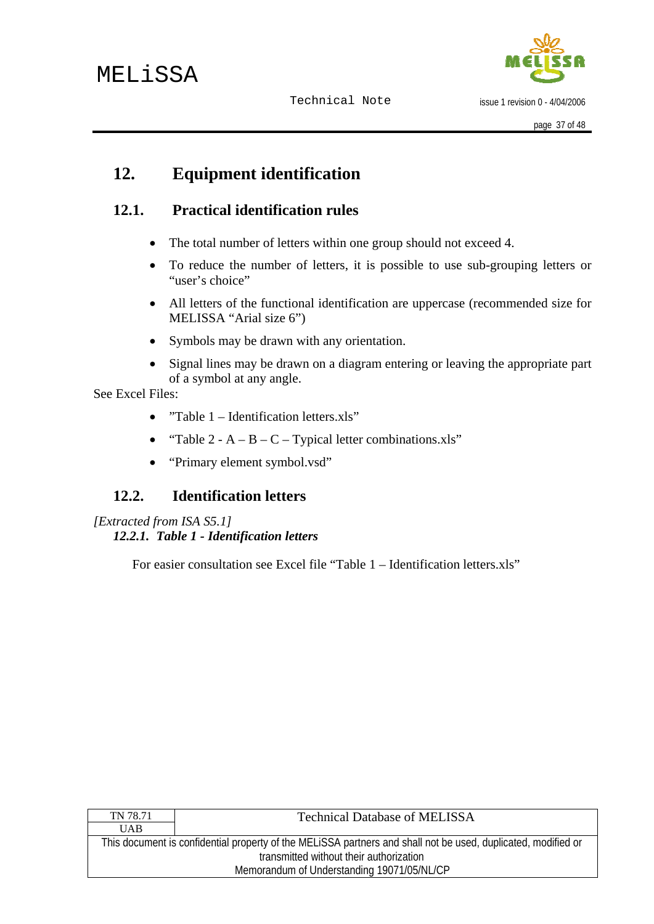

issue 1 revision 0 - 4/04/2006

# <span id="page-36-0"></span>**12. Equipment identification**

# **12.1. Practical identification rules**

- The total number of letters within one group should not exceed 4.
- To reduce the number of letters, it is possible to use sub-grouping letters or "user's choice"
- All letters of the functional identification are uppercase (recommended size for MELISSA "Arial size 6")
- Symbols may be drawn with any orientation.
- Signal lines may be drawn on a diagram entering or leaving the appropriate part of a symbol at any angle.

See Excel Files:

- "Table 1 Identification letters.xls"
- "Table  $2 A B C -$ Typical letter combinations.xls"
- "Primary element symbol.vsd"

# **12.2. Identification letters**

*[Extracted from ISA S5.1] 12.2.1. Table 1 - Identification letters* 

For easier consultation see Excel file "Table 1 – Identification letters.xls"

| TN 78.71                                   | <b>Technical Database of MELISSA</b>                                                                          |  |  |
|--------------------------------------------|---------------------------------------------------------------------------------------------------------------|--|--|
| <b>UAB</b>                                 |                                                                                                               |  |  |
|                                            | This document is confidential property of the MELISSA partners and shall not be used, duplicated, modified or |  |  |
| transmitted without their authorization    |                                                                                                               |  |  |
| Memorandum of Understanding 19071/05/NL/CP |                                                                                                               |  |  |
|                                            |                                                                                                               |  |  |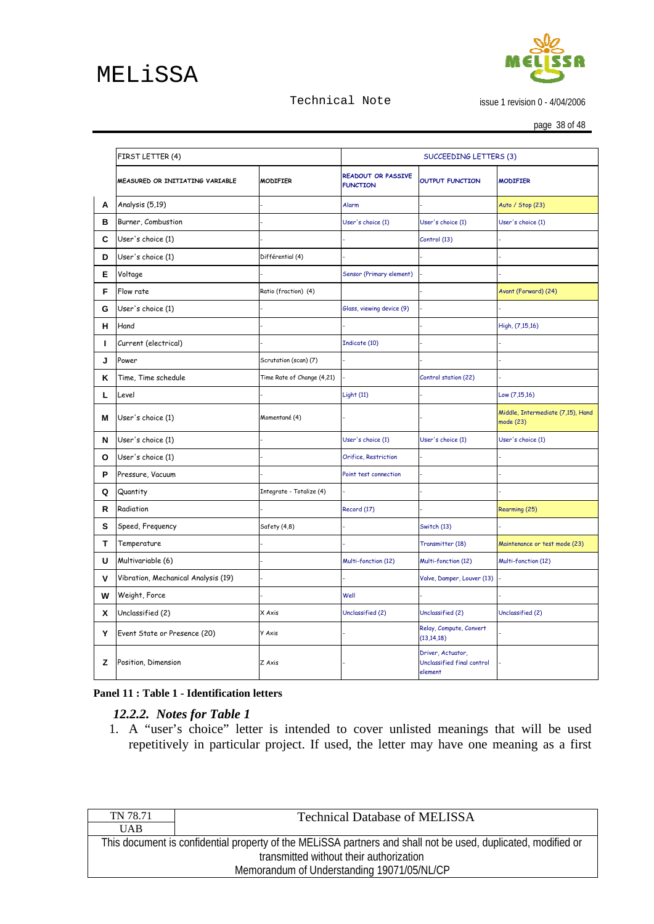# <span id="page-37-0"></span>MELiSSA

#### Technical Note

issue 1 revision 0 - 4/04/2006

page 38 of 48

|   | FIRST LETTER (4)                    |                            | SUCCEEDING LETTERS (3)                       |                                                            |                                                |
|---|-------------------------------------|----------------------------|----------------------------------------------|------------------------------------------------------------|------------------------------------------------|
|   | MEASURED OR INITIATING VARIABLE     | <b>MODIFIER</b>            | <b>READOUT OR PASSIVE</b><br><b>FUNCTION</b> | <b>OUTPUT FUNCTION</b>                                     | <b>MODIFIER</b>                                |
| А | Analysis (5,19)                     |                            | Alarm                                        |                                                            | Auto / Stop (23)                               |
| в | Burner, Combustion                  |                            | User's choice (1)                            | User's choice (1)                                          | User's choice (1)                              |
| C | User's choice (1)                   |                            |                                              | Control (13)                                               |                                                |
| D | User's choice (1)                   | Différential (4)           |                                              |                                                            |                                                |
| Е | Voltage                             |                            | Sensor (Primary element)                     |                                                            |                                                |
| F | Flow rate                           | Ratio (fraction) (4)       |                                              |                                                            | Avant (Forward) (24)                           |
| G | User's choice (1)                   |                            | Glass, viewing device (9)                    |                                                            |                                                |
| н | Hand                                |                            |                                              |                                                            | High, (7,15,16)                                |
| ш | Current (electrical)                |                            | Indicate (10)                                |                                                            |                                                |
| J | Power                               | Scrutation (scan) (7)      |                                              |                                                            |                                                |
| Κ | Time, Time schedule                 | Time Rate of Change (4,21) |                                              | Control station (22)                                       |                                                |
| L | Level                               |                            | Light (11)                                   |                                                            | Low (7,15,16)                                  |
| Μ | User's choice (1)                   | Momentané (4)              |                                              |                                                            | Middle, Intermediate (7,15), Hand<br>mode (23) |
| N | User's choice (1)                   |                            | User's choice (1)                            | User's choice (1)                                          | User's choice (1)                              |
| О | User's choice (1)                   |                            | Orifice, Restriction                         |                                                            |                                                |
| P | Pressure, Vacuum                    |                            | Point test connection                        |                                                            |                                                |
| Q | Quantity                            | Integrate - Totalize (4)   |                                              |                                                            |                                                |
| R | Radiation                           |                            | Record (17)                                  |                                                            | Rearming (25)                                  |
| s | Speed, Frequency                    | Safety (4,8)               |                                              | Switch (13)                                                |                                                |
| т | Temperature                         |                            |                                              | Transmitter (18)                                           | Maintenance or test mode (23)                  |
| U | Multivariable (6)                   |                            | Multi-fonction (12)                          | Multi-fonction (12)                                        | Multi-fonction (12)                            |
| v | Vibration, Mechanical Analysis (19) |                            |                                              | Valve, Damper, Louver (13)                                 |                                                |
| W | Weight, Force                       |                            | Well                                         |                                                            |                                                |
| x | Unclassified (2)                    | X Axis                     | Unclassified (2)                             | Unclassified (2)                                           | Unclassified (2)                               |
| Y | Event State or Presence (20)        | <b>Y</b> Axis              |                                              | Relay, Compute, Convert<br>(13, 14, 18)                    |                                                |
| z | Position, Dimension                 | Z Axis                     |                                              | Driver, Actuator,<br>Unclassified final control<br>element |                                                |

#### **Panel 11 : Table 1 - Identification letters**

#### *12.2.2. Notes for Table 1*

1. A "user's choice" letter is intended to cover unlisted meanings that will be used repetitively in particular project. If used, the letter may have one meaning as a first

| TN 78.71                                   | <b>Technical Database of MELISSA</b>                                                                          |
|--------------------------------------------|---------------------------------------------------------------------------------------------------------------|
| UAB.                                       |                                                                                                               |
|                                            | This document is confidential property of the MELISSA partners and shall not be used, duplicated, modified or |
| transmitted without their authorization    |                                                                                                               |
| Memorandum of Understanding 19071/05/NL/CP |                                                                                                               |
|                                            |                                                                                                               |

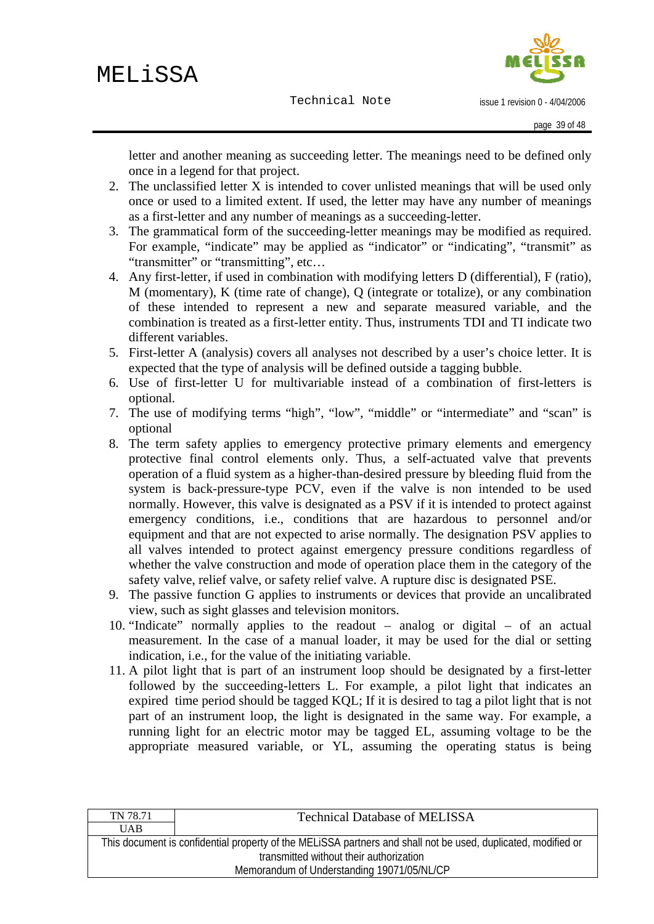issue 1 revision 0 - 4/04/2006

letter and another meaning as succeeding letter. The meanings need to be defined only once in a legend for that project.

- 2. The unclassified letter X is intended to cover unlisted meanings that will be used only once or used to a limited extent. If used, the letter may have any number of meanings as a first-letter and any number of meanings as a succeeding-letter.
- 3. The grammatical form of the succeeding-letter meanings may be modified as required. For example, "indicate" may be applied as "indicator" or "indicating", "transmit" as "transmitter" or "transmitting", etc…
- 4. Any first-letter, if used in combination with modifying letters D (differential), F (ratio), M (momentary), K (time rate of change), Q (integrate or totalize), or any combination of these intended to represent a new and separate measured variable, and the combination is treated as a first-letter entity. Thus, instruments TDI and TI indicate two different variables.
- 5. First-letter A (analysis) covers all analyses not described by a user's choice letter. It is expected that the type of analysis will be defined outside a tagging bubble.
- 6. Use of first-letter U for multivariable instead of a combination of first-letters is optional.
- 7. The use of modifying terms "high", "low", "middle" or "intermediate" and "scan" is optional
- 8. The term safety applies to emergency protective primary elements and emergency protective final control elements only. Thus, a self-actuated valve that prevents operation of a fluid system as a higher-than-desired pressure by bleeding fluid from the system is back-pressure-type PCV, even if the valve is non intended to be used normally. However, this valve is designated as a PSV if it is intended to protect against emergency conditions, i.e., conditions that are hazardous to personnel and/or equipment and that are not expected to arise normally. The designation PSV applies to all valves intended to protect against emergency pressure conditions regardless of whether the valve construction and mode of operation place them in the category of the safety valve, relief valve, or safety relief valve. A rupture disc is designated PSE.
- 9. The passive function G applies to instruments or devices that provide an uncalibrated view, such as sight glasses and television monitors.
- 10. "Indicate" normally applies to the readout analog or digital of an actual measurement. In the case of a manual loader, it may be used for the dial or setting indication, i.e., for the value of the initiating variable.
- 11. A pilot light that is part of an instrument loop should be designated by a first-letter followed by the succeeding-letters L. For example, a pilot light that indicates an expired time period should be tagged KQL; If it is desired to tag a pilot light that is not part of an instrument loop, the light is designated in the same way. For example, a running light for an electric motor may be tagged EL, assuming voltage to be the appropriate measured variable, or YL, assuming the operating status is being

| TN 78.71                                   | <b>Technical Database of MELISSA</b>                                                                          |
|--------------------------------------------|---------------------------------------------------------------------------------------------------------------|
| <b>UAB</b>                                 |                                                                                                               |
|                                            | This document is confidential property of the MELISSA partners and shall not be used, duplicated, modified or |
| transmitted without their authorization    |                                                                                                               |
| Memorandum of Understanding 19071/05/NL/CP |                                                                                                               |
|                                            |                                                                                                               |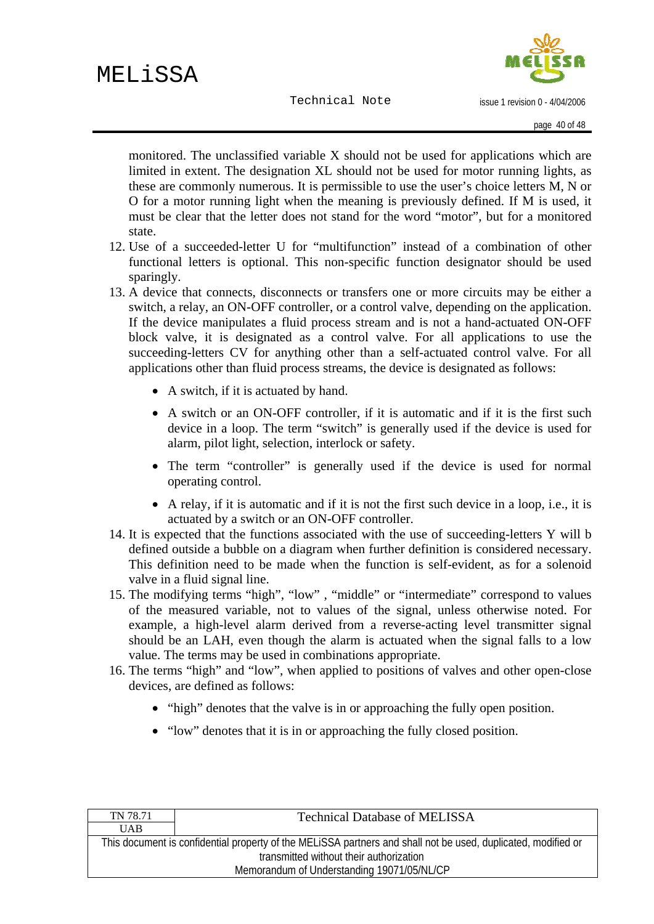monitored. The unclassified variable X should not be used for applications which are limited in extent. The designation XL should not be used for motor running lights, as these are commonly numerous. It is permissible to use the user's choice letters M, N or O for a motor running light when the meaning is previously defined. If M is used, it must be clear that the letter does not stand for the word "motor", but for a monitored state.

- 12. Use of a succeeded-letter U for "multifunction" instead of a combination of other functional letters is optional. This non-specific function designator should be used sparingly.
- 13. A device that connects, disconnects or transfers one or more circuits may be either a switch, a relay, an ON-OFF controller, or a control valve, depending on the application. If the device manipulates a fluid process stream and is not a hand-actuated ON-OFF block valve, it is designated as a control valve. For all applications to use the succeeding-letters CV for anything other than a self-actuated control valve. For all applications other than fluid process streams, the device is designated as follows:
	- A switch, if it is actuated by hand.
	- A switch or an ON-OFF controller, if it is automatic and if it is the first such device in a loop. The term "switch" is generally used if the device is used for alarm, pilot light, selection, interlock or safety.
	- The term "controller" is generally used if the device is used for normal operating control.
	- A relay, if it is automatic and if it is not the first such device in a loop, i.e., it is actuated by a switch or an ON-OFF controller.
- 14. It is expected that the functions associated with the use of succeeding-letters Y will b defined outside a bubble on a diagram when further definition is considered necessary. This definition need to be made when the function is self-evident, as for a solenoid valve in a fluid signal line.
- 15. The modifying terms "high", "low" , "middle" or "intermediate" correspond to values of the measured variable, not to values of the signal, unless otherwise noted. For example, a high-level alarm derived from a reverse-acting level transmitter signal should be an LAH, even though the alarm is actuated when the signal falls to a low value. The terms may be used in combinations appropriate.
- 16. The terms "high" and "low", when applied to positions of valves and other open-close devices, are defined as follows:
	- "high" denotes that the valve is in or approaching the fully open position.
	- "low" denotes that it is in or approaching the fully closed position.

| TN 78.71                                                                                                      | <b>Technical Database of MELISSA</b> |
|---------------------------------------------------------------------------------------------------------------|--------------------------------------|
| <b>UAB</b>                                                                                                    |                                      |
| This document is confidential property of the MELISSA partners and shall not be used, duplicated, modified or |                                      |
| transmitted without their authorization                                                                       |                                      |
| Memorandum of Understanding 19071/05/NL/CP                                                                    |                                      |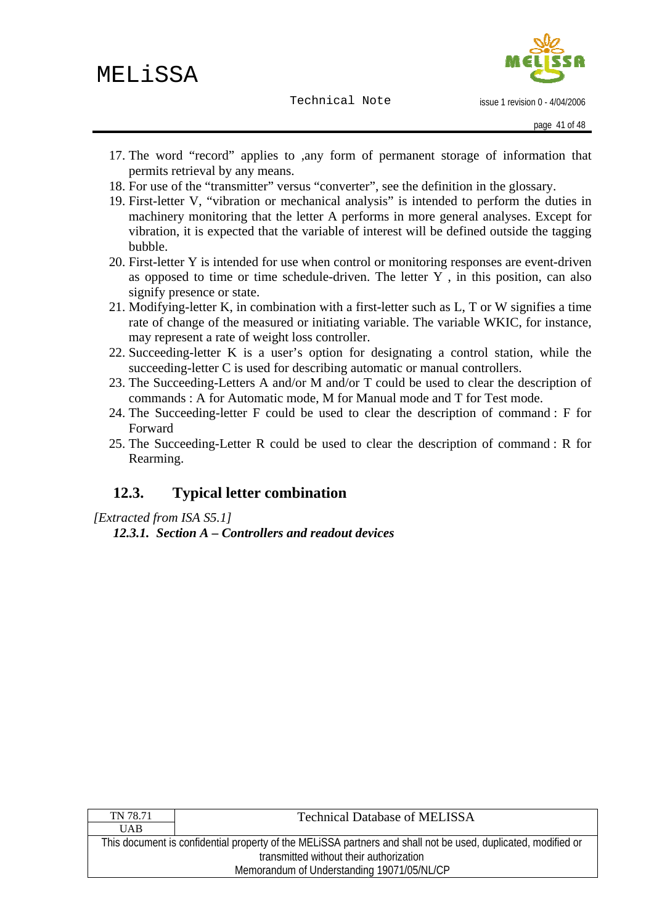issue 1 revision 0 - 4/04/2006

- <span id="page-40-0"></span>17. The word "record" applies to ,any form of permanent storage of information that permits retrieval by any means.
- 18. For use of the "transmitter" versus "converter", see the definition in the glossary.
- 19. First-letter V, "vibration or mechanical analysis" is intended to perform the duties in machinery monitoring that the letter A performs in more general analyses. Except for vibration, it is expected that the variable of interest will be defined outside the tagging bubble.
- 20. First-letter Y is intended for use when control or monitoring responses are event-driven as opposed to time or time schedule-driven. The letter Y , in this position, can also signify presence or state.
- 21. Modifying-letter K, in combination with a first-letter such as L, T or W signifies a time rate of change of the measured or initiating variable. The variable WKIC, for instance, may represent a rate of weight loss controller.
- 22. Succeeding-letter K is a user's option for designating a control station, while the succeeding-letter C is used for describing automatic or manual controllers.
- 23. The Succeeding-Letters A and/or M and/or T could be used to clear the description of commands : A for Automatic mode, M for Manual mode and T for Test mode.
- 24. The Succeeding-letter F could be used to clear the description of command : F for Forward
- 25. The Succeeding-Letter R could be used to clear the description of command : R for Rearming.

# **12.3. Typical letter combination**

*[Extracted from ISA S5.1]* 

*12.3.1. Section A – Controllers and readout devices* 

| TN 78.71                                   | <b>Technical Database of MELISSA</b>                                                                          |  |  |  |  |  |
|--------------------------------------------|---------------------------------------------------------------------------------------------------------------|--|--|--|--|--|
| <b>UAB</b>                                 |                                                                                                               |  |  |  |  |  |
|                                            | This document is confidential property of the MELISSA partners and shall not be used, duplicated, modified or |  |  |  |  |  |
| transmitted without their authorization    |                                                                                                               |  |  |  |  |  |
| Memorandum of Understanding 19071/05/NL/CP |                                                                                                               |  |  |  |  |  |
|                                            |                                                                                                               |  |  |  |  |  |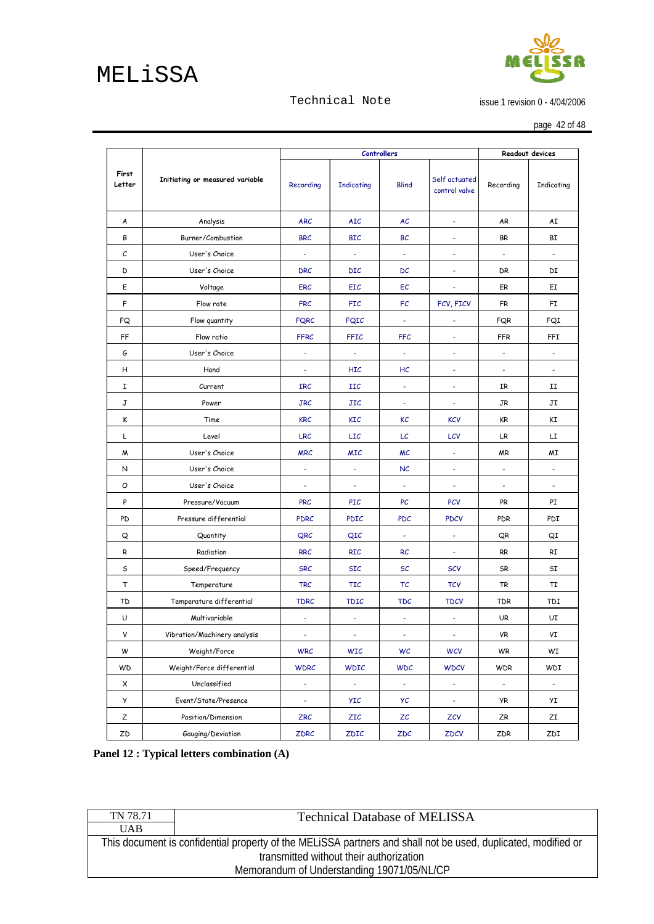# <span id="page-41-0"></span>MELiSSA

# Л

issue 1 revision 0 - 4/04/2006

page 42 of 48

|                 |                                 |                  | <b>Controllers</b> |                | Readout devices                |                              |                          |
|-----------------|---------------------------------|------------------|--------------------|----------------|--------------------------------|------------------------------|--------------------------|
| First<br>Letter | Initiating or measured variable | Recording        | Indicating         | <b>Blind</b>   | Self actuated<br>control valve | Recording                    | Indicating               |
| A               | Analysis                        | <b>ARC</b>       | <b>AIC</b>         | AC             | $\omega$                       | AR                           | AI                       |
| В               | Burner/Combustion               | <b>BRC</b>       | <b>BIC</b>         | BC             | $\sim$                         | <b>BR</b>                    | ΒI                       |
| с               | User's Choice                   | $\sim$           | $\omega$           | $\omega$       | $\overline{\phantom{a}}$       | $\overline{\phantom{a}}$     | $\overline{\phantom{a}}$ |
| D               | User's Choice                   | <b>DRC</b>       | <b>DIC</b>         | DC             | $\omega$                       | DR                           | DI                       |
| E               | Voltage                         | <b>ERC</b>       | <b>EIC</b>         | EC             | $\blacksquare$                 | ER                           | ЕI                       |
| F               | Flow rate                       | <b>FRC</b>       | <b>FIC</b>         | FC             | FCV, FICV                      | <b>FR</b>                    | FI                       |
| FQ              | Flow quantity                   | <b>FQRC</b>      | <b>FQIC</b>        | $\omega$       | $\overline{\phantom{a}}$       | FQR                          | FQI                      |
| FF              | Flow ratio                      | <b>FFRC</b>      | FFIC               | <b>FFC</b>     | $\overline{\phantom{a}}$       | <b>FFR</b>                   | FFI                      |
| G               | User's Choice                   | $\blacksquare$   | $\omega$           | $\omega$       | $\blacksquare$                 | $\frac{1}{2}$                | $\overline{\phantom{0}}$ |
| н               | Hand                            |                  | <b>HIC</b>         | HC             | ÷,                             | $\qquad \qquad \blacksquare$ | $\overline{\phantom{0}}$ |
| I               | Current                         | <b>IRC</b>       | IIC                | $\blacksquare$ | $\overline{\phantom{a}}$       | IR                           | II                       |
| J               | Power                           | <b>JRC</b>       | JIC                | $\blacksquare$ | $\overline{\phantom{a}}$       | JR                           | JI                       |
| K               | Time                            | <b>KRC</b>       | <b>KIC</b>         | КC             | <b>KCV</b>                     | KR                           | KI                       |
| L               | Level                           | <b>LRC</b>       | <b>LIC</b>         | LC             | LCV                            | LR                           | LI                       |
| M               | User's Choice                   | <b>MRC</b>       | <b>MIC</b>         | MC             | $\omega$                       | MR                           | ΜI                       |
| N               | User's Choice                   |                  |                    | NC             | $\omega$                       | $\frac{1}{2}$                | $\overline{\phantom{a}}$ |
| Ο               | User's Choice                   | $\blacksquare$   | ÷                  | $\blacksquare$ | $\blacksquare$                 | $\overline{\phantom{a}}$     | $\overline{\phantom{a}}$ |
| P               | Pressure/Vacuum                 | <b>PRC</b>       | PIC                | PC             | <b>PCV</b>                     | PR.                          | PI                       |
| PD              | Pressure differential           | <b>PDRC</b>      | <b>PDIC</b>        | <b>PDC</b>     | <b>PDCV</b>                    | <b>PDR</b>                   | PDI                      |
| Q               | Quantity                        | QRC              | QIC                | $\omega$       | $\omega$                       | QR                           | QI                       |
| R               | Radiation                       | <b>RRC</b>       | <b>RIC</b>         | <b>RC</b>      | $\omega$                       | <b>RR</b>                    | RI                       |
| s               | Speed/Frequency                 | <b>SRC</b>       | <b>SIC</b>         | <b>SC</b>      | <b>SCV</b>                     | SR                           | SI                       |
| Т               | Temperature                     | <b>TRC</b>       | <b>TIC</b>         | ТC             | <b>TCV</b>                     | TR                           | TI                       |
| TD              | Temperature differential        | <b>TDRC</b>      | <b>TDIC</b>        | <b>TDC</b>     | <b>TDCV</b>                    | <b>TDR</b>                   | TDI                      |
| U               | Multivariable                   | $\blacksquare$   | ÷                  | ÷              | ÷                              | <b>UR</b>                    | UI                       |
| v               | Vibration/Machinery analysis    | $\sigma_{\rm c}$ | $\pm$              | $\pm$          | $\pm$                          | VR                           | VI                       |
| W               | Weight/Force                    | <b>WRC</b>       | <b>WIC</b>         | WC             | <b>WCV</b>                     | WR                           | WI                       |
| WD              | Weight/Force differential       | <b>WDRC</b>      | <b>WDIC</b>        | <b>WDC</b>     | <b>WDCV</b>                    | <b>WDR</b>                   | WDI                      |
| X               | Unclassified                    | $\pm$            | $\pm$              | $\pm$          | $\pm$                          | $\overline{\phantom{a}}$     | $\blacksquare$           |
| У               | Event/State/Presence            | $\sigma_{\rm c}$ | <b>YIC</b>         | УC             | $\tau$                         | <b>YR</b>                    | УI                       |
| Ζ               | Position/Dimension              | <b>ZRC</b>       | ZIC                | ZC             | ZCV                            | ZR                           | ZI                       |
| ZD              | Gauging/Deviation               | ZDRC             | ZDIC               | ZDC            | ZDCV                           | ZDR                          | ZDI                      |

Technical Note

**Panel 12 : Typical letters combination (A)** 

| TN 78.71                                   | <b>Technical Database of MELISSA</b>                                                                          |  |  |  |  |
|--------------------------------------------|---------------------------------------------------------------------------------------------------------------|--|--|--|--|
| <b>UAB</b>                                 |                                                                                                               |  |  |  |  |
|                                            | This document is confidential property of the MELISSA partners and shall not be used, duplicated, modified or |  |  |  |  |
| transmitted without their authorization    |                                                                                                               |  |  |  |  |
| Memorandum of Understanding 19071/05/NL/CP |                                                                                                               |  |  |  |  |
|                                            |                                                                                                               |  |  |  |  |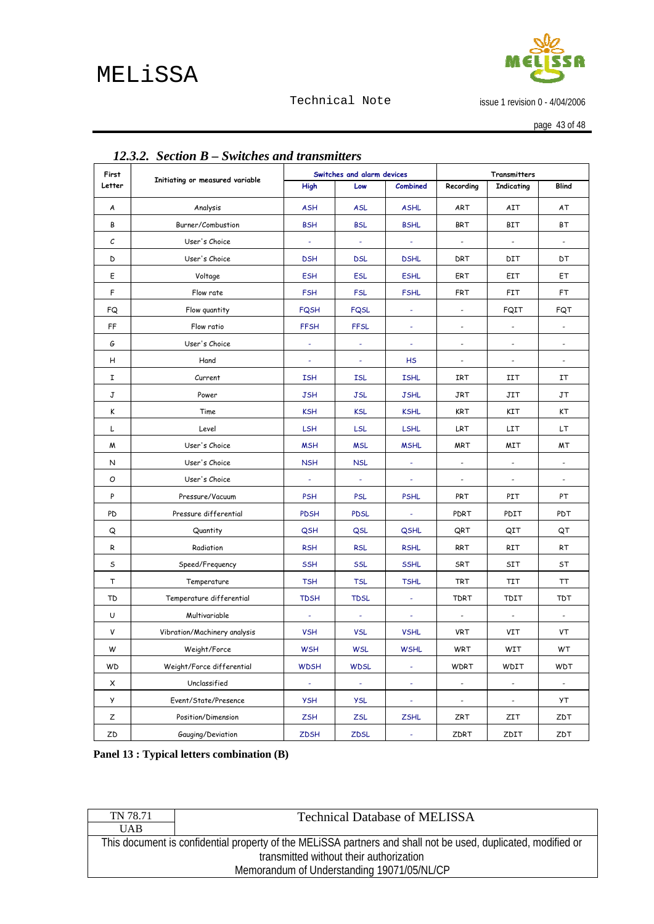

issue 1 revision 0 - 4/04/2006

page 43 of 48

<span id="page-42-0"></span>

| 12.3.2. Section B – Switches and transmitters<br>Switches and alarm devices<br>First |                                 |                  |                |                |                              |                                   |                          |
|--------------------------------------------------------------------------------------|---------------------------------|------------------|----------------|----------------|------------------------------|-----------------------------------|--------------------------|
| Letter                                                                               | Initiating or measured variable | High             | Low            | Combined       | Recording                    | Transmitters<br><b>Indicating</b> | <b>Blind</b>             |
| A                                                                                    | Analysis<br><b>ASH</b>          |                  | <b>ASL</b>     | <b>ASHL</b>    | <b>ART</b>                   | AIT                               | АT                       |
| В                                                                                    | Burner/Combustion               | <b>BSH</b>       | <b>BSL</b>     | <b>BSHL</b>    | <b>BRT</b>                   | <b>BIT</b>                        | ΒT                       |
| С                                                                                    | User's Choice                   | ÷                | $\blacksquare$ | $\pm$          | $\blacksquare$               | $\blacksquare$                    | $\overline{\phantom{a}}$ |
| D                                                                                    | User's Choice                   | <b>DSH</b>       | <b>DSL</b>     | <b>DSHL</b>    | DRT                          | DIT                               | DТ                       |
| E                                                                                    | Voltage                         | <b>ESH</b>       | <b>ESL</b>     | <b>ESHL</b>    | ERT                          | EIT                               | EТ                       |
| F                                                                                    | Flow rate                       | <b>FSH</b>       | <b>FSL</b>     | <b>FSHL</b>    | FRT                          | FIT                               | FT                       |
| FQ                                                                                   | Flow quantity                   | <b>FQSH</b>      | <b>FQSL</b>    | $\omega$       | $\overline{\phantom{a}}$     | FQIT                              | FQT                      |
| FF                                                                                   | Flow ratio                      | <b>FFSH</b>      | <b>FFSL</b>    | $\omega$       | $\overline{\phantom{a}}$     | $\overline{\phantom{a}}$          | $\overline{\phantom{a}}$ |
| G                                                                                    | User's Choice                   | ÷,               |                | $\equiv$       | $\qquad \qquad \blacksquare$ | $\overline{\phantom{a}}$          |                          |
| н                                                                                    | Hand                            | ÷                | ÷              | <b>HS</b>      | $\blacksquare$               | $\overline{\phantom{a}}$          | $\frac{1}{2}$            |
| I                                                                                    | Current                         | <b>ISH</b>       | <b>ISL</b>     | <b>ISHL</b>    | IRT                          | IIT                               | ΙT                       |
| J                                                                                    | Power                           | <b>JSH</b>       | <b>JSL</b>     | <b>JSHL</b>    | JRT                          | JIT                               | JT                       |
| K                                                                                    | Time                            | <b>KSH</b>       | <b>KSL</b>     | <b>KSHL</b>    | KRT                          | KIT                               | KT                       |
| L                                                                                    | Level                           | LSH              | LSL            | LSHL           | LRT                          | LIT                               | LT                       |
| M                                                                                    | User's Choice                   | <b>MSH</b>       | <b>MSL</b>     | <b>MSHL</b>    | <b>MRT</b>                   | MIT                               | МT                       |
| N                                                                                    | User's Choice                   | <b>NSH</b>       | <b>NSL</b>     |                |                              | $\overline{\phantom{a}}$          |                          |
| Ο                                                                                    | User's Choice                   | $\equiv$         | $\blacksquare$ | $\blacksquare$ | $\blacksquare$               | $\overline{\phantom{a}}$          | $\overline{\phantom{a}}$ |
| P                                                                                    | Pressure/Vacuum                 | <b>PSH</b>       | <b>PSL</b>     | <b>PSHL</b>    | PRT                          | PIT                               | PT                       |
| PD                                                                                   | Pressure differential           | <b>PDSH</b>      | <b>PDSL</b>    | $\omega$       | PDRT                         | PDIT                              | <b>PDT</b>               |
| Q                                                                                    | Quantity                        | <b>QSH</b>       | QSL            | QSHL           | QRT                          | QIT                               | QT                       |
| R                                                                                    | Radiation                       | <b>RSH</b>       | <b>RSL</b>     | <b>RSHL</b>    | RRT                          | RIT                               | RT                       |
| s                                                                                    | Speed/Frequency                 | <b>SSH</b>       | <b>SSL</b>     | <b>SSHL</b>    | SRT                          | SIT                               | ST                       |
| т                                                                                    | Temperature                     | <b>TSH</b>       | <b>TSL</b>     | <b>TSHL</b>    | <b>TRT</b>                   | TIT                               | ТT                       |
| TD                                                                                   | Temperature differential        | <b>TDSH</b>      | <b>TDSL</b>    | $\omega$       | <b>TDRT</b>                  | TDIT                              | TDT                      |
| U                                                                                    | Multivariable                   | $\blacksquare$   | $\omega$       | $\omega$       | $\overline{\phantom{a}}$     | $\overline{\phantom{a}}$          | $\overline{\phantom{a}}$ |
| V                                                                                    | Vibration/Machinery analysis    | <b>VSH</b>       | <b>VSL</b>     | <b>VSHL</b>    | <b>VRT</b>                   | VIT                               | VT                       |
| W                                                                                    | Weight/Force                    | <b>WSH</b>       | WSL            | WSHL           | WRT                          | WIT                               | WТ                       |
| <b>WD</b>                                                                            | Weight/Force differential       | <b>WDSH</b>      | <b>WDSL</b>    | $\blacksquare$ | <b>WDRT</b>                  | WDIT                              | WDT                      |
| X                                                                                    | Unclassified                    | $\sigma_{\rm c}$ | $\pm$          | ÷              | $\sim$                       | $\pm$                             | $\sim$                   |
| y                                                                                    | Event/State/Presence            | <b>YSH</b>       | <b>YSL</b>     | $\pm$          | $\blacksquare$               | $\overline{\phantom{a}}$          | УT                       |
| Ζ                                                                                    | Position/Dimension              | <b>ZSH</b>       | ZSL            | <b>ZSHL</b>    | ZRT                          | ZIT                               | ZDT                      |
| ZD                                                                                   | Gauging/Deviation               | <b>ZDSH</b>      | ZDSL           | $\blacksquare$ | ZDRT                         | ZDIT                              | ZDT                      |

Technical Note

# *12.3.2. Section B – Switches and transmitters*

**Panel 13 : Typical letters combination (B)** 

| TN 78.71                                   | <b>Technical Database of MELISSA</b>                                                                          |  |  |  |  |
|--------------------------------------------|---------------------------------------------------------------------------------------------------------------|--|--|--|--|
| <b>UAB</b>                                 |                                                                                                               |  |  |  |  |
|                                            | This document is confidential property of the MELISSA partners and shall not be used, duplicated, modified or |  |  |  |  |
| transmitted without their authorization    |                                                                                                               |  |  |  |  |
| Memorandum of Understanding 19071/05/NL/CP |                                                                                                               |  |  |  |  |
|                                            |                                                                                                               |  |  |  |  |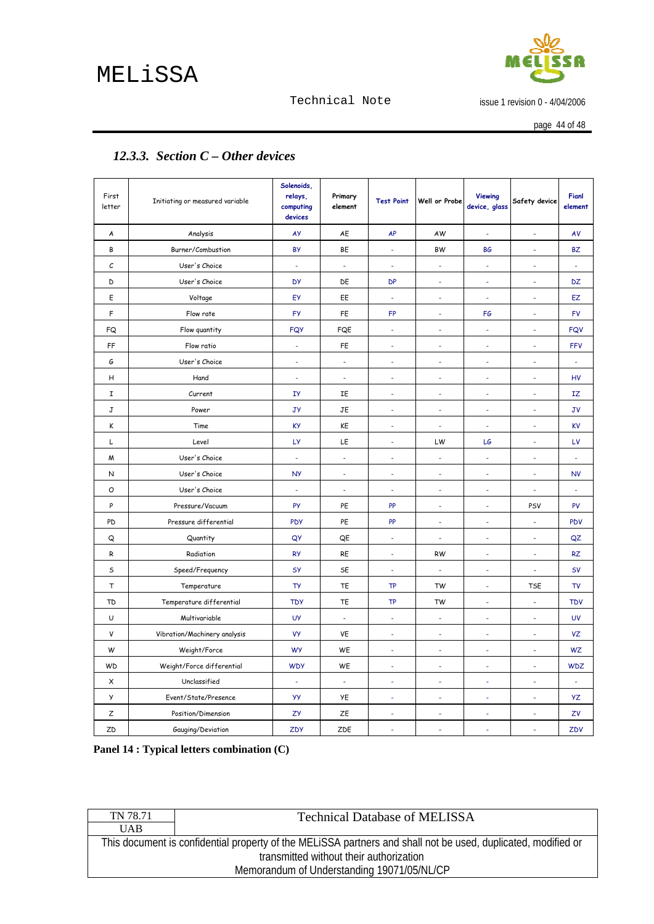# <span id="page-43-0"></span>MELiSSA



#### Technical Note

issue 1 revision 0 - 4/04/2006

page 44 of 48

| First<br>letter | Initiating or measured variable | Solenoids,<br>relays,<br>computing<br>devices | Primary<br>element       | <b>Test Point</b>        | Well or Probe                   | <b>Viewing</b><br>device, glass | Safety device            | Fianl<br>element |
|-----------------|---------------------------------|-----------------------------------------------|--------------------------|--------------------------|---------------------------------|---------------------------------|--------------------------|------------------|
| A               | Analysis                        | AY                                            | AE                       | AP                       | AW                              | $\omega$                        | $\overline{\phantom{a}}$ | AV               |
| В               | Burner/Combustion               | <b>BY</b>                                     | BE                       | ä,                       | <b>BW</b>                       | <b>BG</b>                       | $\overline{\phantom{a}}$ | <b>BZ</b>        |
| $\mathcal C$    | User's Choice                   | ä,                                            | $\overline{a}$           | ä,                       | $\overline{\phantom{a}}$        | ä,                              | $\tilde{\phantom{a}}$    | ÷,               |
| D               | User's Choice                   | <b>DY</b>                                     | DE                       | <b>DP</b>                | $\overline{\phantom{a}}$        | ÷.                              | $\overline{\phantom{a}}$ | DZ               |
| E               | Voltage                         | EY                                            | EE                       | $\Box$                   | $\frac{1}{2}$                   | ÷.                              | $\overline{\phantom{a}}$ | EZ               |
| F               | Flow rate                       | <b>FY</b>                                     | FE                       | <b>FP</b>                | $\overline{\phantom{a}}$        | FG                              | $\overline{\phantom{a}}$ | <b>FV</b>        |
| FQ              | Flow quantity                   | <b>FQY</b>                                    | FQE                      | ÷,                       | ÷,                              | ä,                              | ÷,                       | <b>FQV</b>       |
| FF              | Flow ratio                      | ä,                                            | FE                       | ä,                       | $\overline{a}$                  | ÷                               | $\overline{\phantom{a}}$ | <b>FFV</b>       |
| G               | User's Choice                   | ÷                                             | $\ddot{\phantom{a}}$     | ä,                       | L.                              | $\omega$                        | ÷,                       | Ξ                |
| н               | Hand                            | ÷,                                            | $\overline{\phantom{a}}$ | ÷.                       | $\overline{\phantom{a}}$        | $\sim$                          | ÷,                       | HV               |
| 1               | Current                         | IУ                                            | IΕ                       | ä,                       | $\overline{\phantom{a}}$        | $\overline{\phantom{a}}$        | ÷.                       | IZ               |
| J               | Power                           | JУ                                            | JE                       | ä,                       | ÷,                              | ä,                              | ÷,                       | <b>JV</b>        |
| K               | Time                            | <b>KY</b>                                     | KE                       | ÷.                       | $\overline{\phantom{a}}$        | ÷.                              | $\overline{\phantom{a}}$ | <b>KV</b>        |
| L               | Level                           | LУ                                            | LE                       | ä,                       | LW                              | LG                              | $\overline{\phantom{a}}$ | LV               |
| M               | User's Choice                   | ä,                                            | $\overline{\phantom{a}}$ | ä,                       | ÷,                              | ä,                              | ÷,                       | $\blacksquare$   |
| N               | User's Choice                   | <b>NY</b>                                     | $\overline{\phantom{a}}$ | ä,                       | $\overline{\phantom{a}}$        | ä,                              | $\overline{a}$           | <b>NV</b>        |
| O               | User's Choice                   | ä,                                            | $\ddot{\phantom{a}}$     | ä,                       | $\blacksquare$                  |                                 | $\blacksquare$           |                  |
| P               | Pressure/Vacuum                 | PY                                            | PE                       | PP                       | ÷                               | ÷.                              | PSV                      | PV               |
| PD              | Pressure differential           | <b>PDY</b>                                    | PE                       | PP                       | ÷,                              | $\blacksquare$                  | ÷,                       | PDV              |
| Q               | Quantity                        | QY                                            | QE                       | $\sim$                   | $\overline{\phantom{a}}$        | $\omega$                        | $\omega$                 | QZ               |
| R               | Radiation                       | <b>RY</b>                                     | RE                       | $\omega$                 | <b>RW</b>                       | $\omega$                        | $\omega$                 | <b>RZ</b>        |
| S               | Speed/Frequency                 | SY                                            | SE                       | ä,                       | $\centering \label{eq:reduced}$ | $\omega$                        | $\blacksquare$           | <b>SV</b>        |
| T               | Temperature                     | TY                                            | TE                       | <b>TP</b>                | TW                              | ÷.                              | <b>TSE</b>               | <b>TV</b>        |
| <b>TD</b>       | Temperature differential        | <b>TDY</b>                                    | TE                       | <b>TP</b>                | <b>TW</b>                       | ä,                              | ÷,                       | <b>TDV</b>       |
| U               | Multivariable                   | <b>UY</b>                                     | $\overline{\phantom{a}}$ | $\sim$                   | $\overline{\phantom{a}}$        | $\sim$                          | $\tilde{\phantom{a}}$    | <b>UV</b>        |
| V               | Vibration/Machinery analysis    | <b>VY</b>                                     | VE                       | ł,                       | L.                              | ä,                              | $\overline{\phantom{a}}$ | VZ               |
| W               | Weight/Force                    | <b>WY</b>                                     | WE                       | L.                       | ÷,                              |                                 | L.                       | <b>WZ</b>        |
| <b>WD</b>       | Weight/Force differential       | <b>WDY</b>                                    | WE                       | ä,                       | L.                              | ÷.                              | $\overline{a}$           | <b>WDZ</b>       |
| X               | Unclassified                    | ÷,                                            | $\blacksquare$           | ÷                        |                                 | ÷,                              | ÷,                       |                  |
| у               | Event/State/Presence            | yу                                            | YE                       | $\overline{\phantom{a}}$ | $\sim$                          | $\overline{\phantom{a}}$        | $\overline{\phantom{a}}$ | YΖ               |
| Z               | Position/Dimension              | ZУ                                            | ZE                       | ÷                        | $\overline{\phantom{a}}$        | ÷                               | $\overline{\phantom{a}}$ | ZV               |
| ZD              | Gauging/Deviation               | ZDY                                           | ZDE                      | L,                       | L.                              | ä,                              | $\overline{a}$           | ZDV              |

## *12.3.3. Section C – Other devices*

**Panel 14 : Typical letters combination (C)** 

| TN 78.71                                   | <b>Technical Database of MELISSA</b>                                                                                                                     |  |  |  |  |  |
|--------------------------------------------|----------------------------------------------------------------------------------------------------------------------------------------------------------|--|--|--|--|--|
| <b>UAB</b>                                 |                                                                                                                                                          |  |  |  |  |  |
|                                            | This document is confidential property of the MELISSA partners and shall not be used, duplicated, modified or<br>transmitted without their authorization |  |  |  |  |  |
| Memorandum of Understanding 19071/05/NL/CP |                                                                                                                                                          |  |  |  |  |  |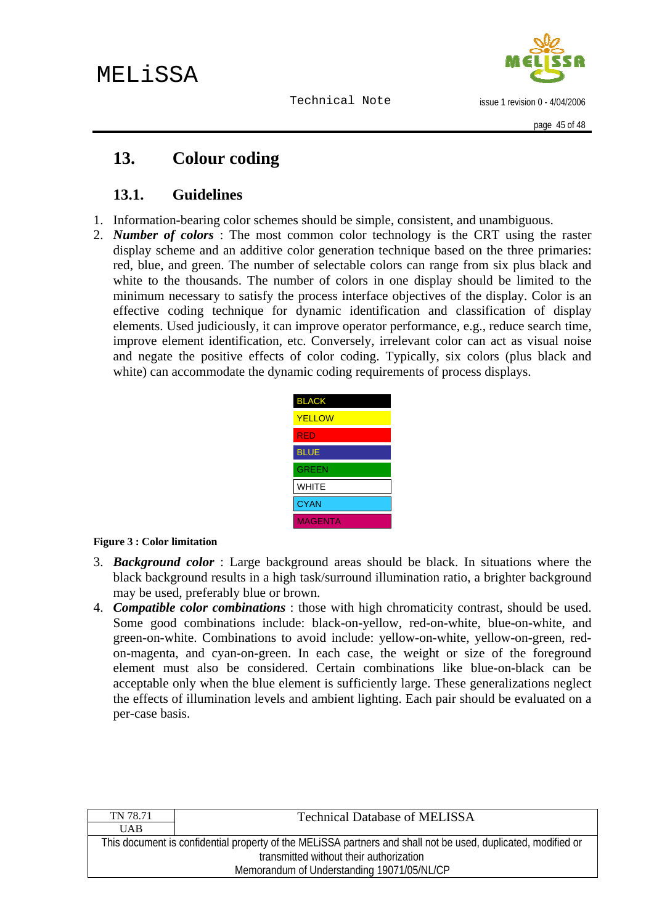

issue 1 revision 0 - 4/04/2006

# <span id="page-44-0"></span>**13. Colour coding**

# **13.1. Guidelines**

- 1. Information-bearing color schemes should be simple, consistent, and unambiguous.
- 2. *Number of colors* : The most common color technology is the CRT using the raster display scheme and an additive color generation technique based on the three primaries: red, blue, and green. The number of selectable colors can range from six plus black and white to the thousands. The number of colors in one display should be limited to the minimum necessary to satisfy the process interface objectives of the display. Color is an effective coding technique for dynamic identification and classification of display elements. Used judiciously, it can improve operator performance, e.g., reduce search time, improve element identification, etc. Conversely, irrelevant color can act as visual noise and negate the positive effects of color coding. Typically, six colors (plus black and white) can accommodate the dynamic coding requirements of process displays.

| <b>BLACK</b>   |
|----------------|
| <b>YELLOW</b>  |
| RÉD            |
| <b>BLUE</b>    |
| <b>GREEN</b>   |
| <b>WHITE</b>   |
| <b>CYAN</b>    |
| <b>MAGENTA</b> |

#### **Figure 3 : Color limitation**

- 3. *Background color* : Large background areas should be black. In situations where the black background results in a high task/surround illumination ratio, a brighter background may be used, preferably blue or brown.
- 4. *Compatible color combinations* : those with high chromaticity contrast, should be used. Some good combinations include: black-on-yellow, red-on-white, blue-on-white, and green-on-white. Combinations to avoid include: yellow-on-white, yellow-on-green, redon-magenta, and cyan-on-green. In each case, the weight or size of the foreground element must also be considered. Certain combinations like blue-on-black can be acceptable only when the blue element is sufficiently large. These generalizations neglect the effects of illumination levels and ambient lighting. Each pair should be evaluated on a per-case basis.

| TN 78.71                                   | <b>Technical Database of MELISSA</b>                                                                          |  |  |  |  |  |
|--------------------------------------------|---------------------------------------------------------------------------------------------------------------|--|--|--|--|--|
| <b>UAB</b>                                 |                                                                                                               |  |  |  |  |  |
|                                            | This document is confidential property of the MELISSA partners and shall not be used, duplicated, modified or |  |  |  |  |  |
|                                            | transmitted without their authorization                                                                       |  |  |  |  |  |
| Memorandum of Understanding 19071/05/NL/CP |                                                                                                               |  |  |  |  |  |
|                                            |                                                                                                               |  |  |  |  |  |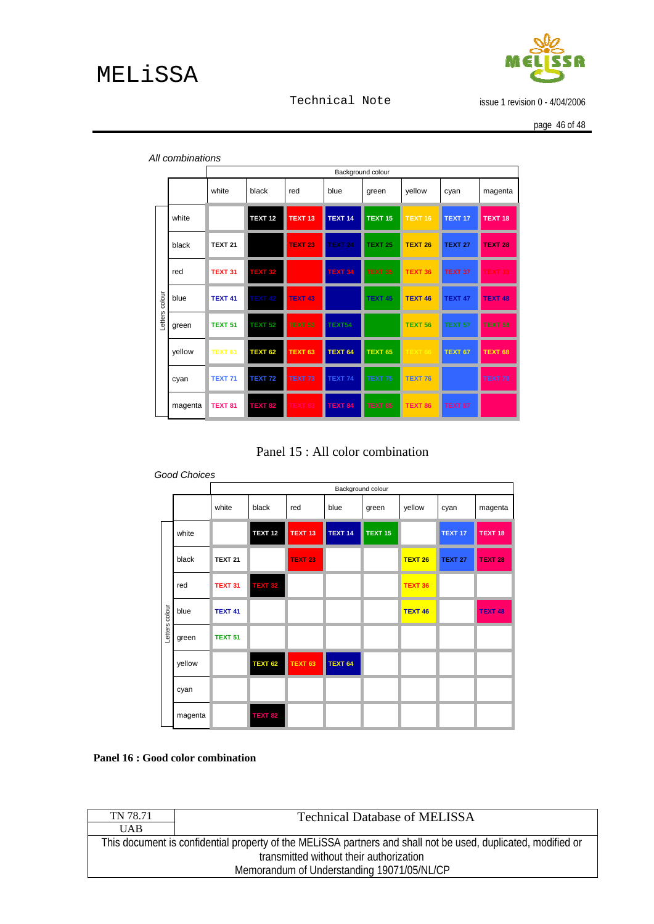

issue 1 revision 0 - 4/04/2006

page 46 of 48

|         |         | Background colour  |                    |                    |                    |                    |                    |                    |                    |
|---------|---------|--------------------|--------------------|--------------------|--------------------|--------------------|--------------------|--------------------|--------------------|
|         |         | white              | black              | red                | blue               | green              | yellow             | cyan               | magenta            |
|         | white   |                    | <b>TEXT 12</b>     | TEXT <sub>13</sub> | TEXT <sub>14</sub> | TEXT <sub>15</sub> | TEXT <sub>16</sub> | TEXT <sub>17</sub> | TEXT <sub>18</sub> |
|         | black   | <b>TEXT 21</b>     |                    | <b>TEXT 23</b>     | <b>TEXT 24</b>     | <b>TEXT 25</b>     | <b>TEXT 26</b>     | <b>TEXT 27</b>     | TEXT <sub>28</sub> |
|         | red     | TEXT <sub>31</sub> | <b>TEXT 32</b>     |                    | <b>TEXT 34</b>     | <b>TEXT 35</b>     | TEXT <sub>36</sub> | TEXT 37            | <b>EXT 38</b>      |
| colour  | blue    | TEXT <sub>41</sub> | TEXT <sub>42</sub> | <b>TEXT 43</b>     |                    | TEXT <sub>45</sub> | TEXT 46            | TEXT 47            | <b>TEXT 48</b>     |
| Letters | green   | <b>TEXT 51</b>     | <b>TEXT 52</b>     | <b>TEXT 53</b>     | TEXT54             |                    | TEXT <sub>56</sub> | <b>TEXT 57</b>     | <b>TEXT 58</b>     |
|         | yellow  | <b>TEXT 61</b>     | TEXT <sub>62</sub> | TEXT <sub>63</sub> | TEXT <sub>64</sub> | <b>TEXT 65</b>     |                    | TEXT <sub>67</sub> | TEXT <sub>68</sub> |
|         | cyan    | <b>TEXT 71</b>     | <b>TEXT 72</b>     | TEXT <sub>73</sub> | TEXT 74            | TEXT 75            | <b>TEXT 76</b>     |                    | TEXT 78            |
|         | magenta | TEXT <sub>81</sub> | <b>TEXT 82</b>     | <b>TEXT 83</b>     | <b>TEXT 84</b>     | <b>TEXT 85</b>     | <b>TEXT 86</b>     | TEXT <sub>87</sub> |                    |

<span id="page-45-0"></span>*All combinations*



|                | <b>Good Choices</b> |                    |                    |                    |                |         |                    |                |                    |
|----------------|---------------------|--------------------|--------------------|--------------------|----------------|---------|--------------------|----------------|--------------------|
|                |                     |                    | Background colour  |                    |                |         |                    |                |                    |
|                |                     | white              | black              | red                | blue           | green   | yellow             | cyan           | magenta            |
|                | white               |                    | <b>TEXT 12</b>     | TEXT <sub>13</sub> | <b>TEXT 14</b> | TEXT 15 |                    | <b>TEXT 17</b> | TEXT <sub>18</sub> |
|                | black               | <b>TEXT 21</b>     |                    | <b>TEXT 23</b>     |                |         | TEXT <sub>26</sub> | <b>TEXT 27</b> | <b>TEXT 28</b>     |
| Letters colour | red                 | TEXT <sub>31</sub> | <b>TEXT 32</b>     |                    |                |         | <b>TEXT 36</b>     |                |                    |
|                | blue                | <b>TEXT 41</b>     |                    |                    |                |         | TEXT <sub>46</sub> |                | <b>TEXT 48</b>     |
|                | green               | TEXT <sub>51</sub> |                    |                    |                |         |                    |                |                    |
|                | yellow              |                    | TEXT <sub>62</sub> | <b>TEXT 63</b>     | <b>TEXT 64</b> |         |                    |                |                    |
|                | cyan                |                    |                    |                    |                |         |                    |                |                    |
|                | magenta             |                    | <b>TEXT 82</b>     |                    |                |         |                    |                |                    |

**Panel 16 : Good color combination** 

| TN 78.71                                   | <b>Technical Database of MELISSA</b>                                                                          |  |  |  |  |
|--------------------------------------------|---------------------------------------------------------------------------------------------------------------|--|--|--|--|
| <b>UAB</b>                                 |                                                                                                               |  |  |  |  |
|                                            | This document is confidential property of the MELISSA partners and shall not be used, duplicated, modified or |  |  |  |  |
|                                            | transmitted without their authorization                                                                       |  |  |  |  |
| Memorandum of Understanding 19071/05/NL/CP |                                                                                                               |  |  |  |  |
|                                            |                                                                                                               |  |  |  |  |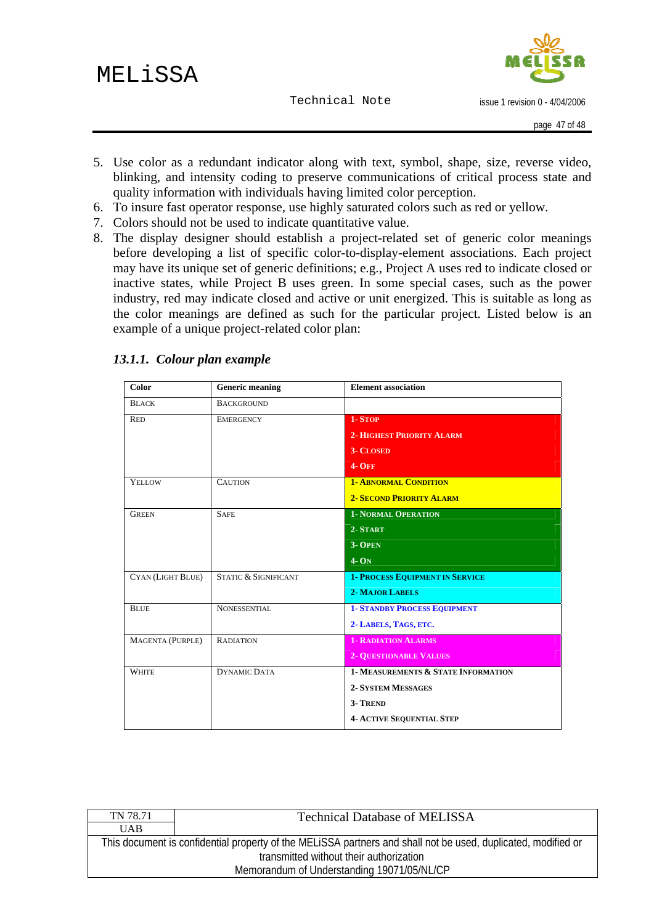issue 1 revision 0 - 4/04/2006

- <span id="page-46-0"></span>5. Use color as a redundant indicator along with text, symbol, shape, size, reverse video, blinking, and intensity coding to preserve communications of critical process state and quality information with individuals having limited color perception.
- 6. To insure fast operator response, use highly saturated colors such as red or yellow.
- 7. Colors should not be used to indicate quantitative value.
- 8. The display designer should establish a project-related set of generic color meanings before developing a list of specific color-to-display-element associations. Each project may have its unique set of generic definitions; e.g., Project A uses red to indicate closed or inactive states, while Project B uses green. In some special cases, such as the power industry, red may indicate closed and active or unit energized. This is suitable as long as the color meanings are defined as such for the particular project. Listed below is an example of a unique project-related color plan:

| Color                   | <b>Generic meaning</b>          | <b>Element association</b>             |
|-------------------------|---------------------------------|----------------------------------------|
| <b>BLACK</b>            | <b>BACKGROUND</b>               |                                        |
| <b>RED</b>              | <b>EMERGENCY</b>                | 1-STOP                                 |
|                         |                                 | <b>2- HIGHEST PRIORITY ALARM</b>       |
|                         |                                 | <b>3- CLOSED</b>                       |
|                         |                                 | <b>4- OFF</b>                          |
| <b>YELLOW</b>           | <b>CAUTION</b>                  | <b>1- ABNORMAL CONDITION</b>           |
|                         |                                 | <b>2- SECOND PRIORITY ALARM</b>        |
| <b>GREEN</b>            | <b>SAFE</b>                     | <b>1- NORMAL OPERATION</b>             |
|                         |                                 | 2-START                                |
|                         |                                 | 3- OPEN                                |
|                         |                                 | $4-ON$                                 |
| CYAN (LIGHT BLUE)       | <b>STATIC &amp; SIGNIFICANT</b> | <b>1- PROCESS EQUIPMENT IN SERVICE</b> |
|                         |                                 | <b>2- MAJOR LABELS</b>                 |
| <b>BLUE</b>             | <b>NONESSENTIAL</b>             | <b>1- STANDBY PROCESS EQUIPMENT</b>    |
|                         |                                 | 2-LABELS, TAGS, ETC.                   |
| <b>MAGENTA (PURPLE)</b> | <b>RADIATION</b>                | <b>1- RADIATION ALARMS</b>             |
|                         |                                 | <b>2- QUESTIONABLE VALUES</b>          |
| <b>WHITE</b>            | <b>DYNAMIC DATA</b>             | 1- MEASUREMENTS & STATE INFORMATION    |
|                         |                                 | <b>2- SYSTEM MESSAGES</b>              |
|                         |                                 | 3-TREND                                |
|                         |                                 | <b>4- ACTIVE SEQUENTIAL STEP</b>       |

#### *13.1.1. Colour plan example*

| TN 78.71                                                                                                      | <b>Technical Database of MELISSA</b> |  |
|---------------------------------------------------------------------------------------------------------------|--------------------------------------|--|
| <b>UAB</b>                                                                                                    |                                      |  |
| This document is confidential property of the MELISSA partners and shall not be used, duplicated, modified or |                                      |  |
| transmitted without their authorization                                                                       |                                      |  |
| Memorandum of Understanding 19071/05/NL/CP                                                                    |                                      |  |
|                                                                                                               |                                      |  |